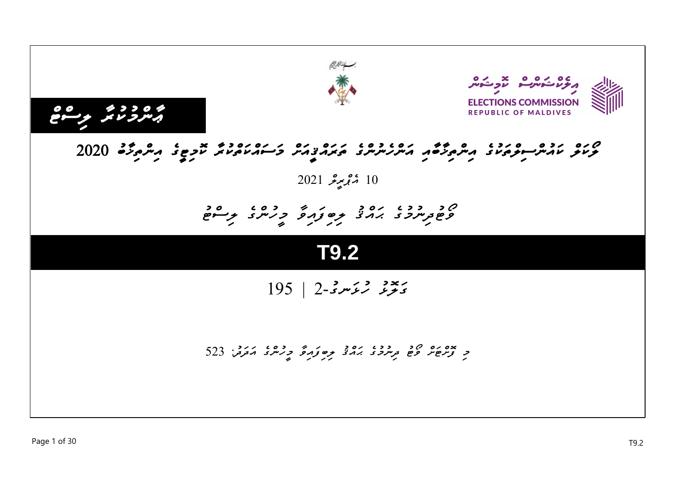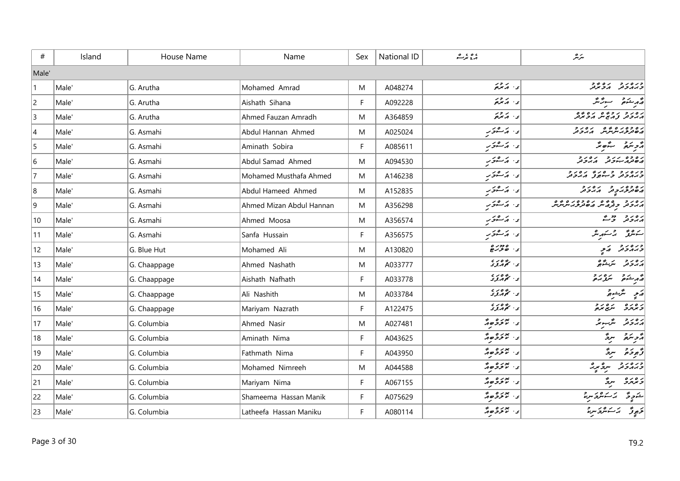| #              | Island | House Name   | Name                     | Sex | National ID | ، ه ، ره<br>مر: برگ       | ىئرىتر                                                      |
|----------------|--------|--------------|--------------------------|-----|-------------|---------------------------|-------------------------------------------------------------|
| Male'          |        |              |                          |     |             |                           |                                                             |
|                | Male'  | G. Arutha    | Mohamed Amrad            | M   | A048274     | ی کرچر                    | כנסנכ נספכ<br>כ <i>ה</i> וכנ וכתנ                           |
| 2              | Male'  | G. Arutha    | Aishath Sihana           | F   | A092228     | ی کرچری                   | لەر ئىككى سىرتىگە                                           |
| 3              | Male'  | G. Arutha    | Ahmed Fauzan Amradh      | M   | A364859     | ی کرچری                   | ג סג כ- ג כ שים ובים בים.<br>הגב בר נ' ה"ש"ל הכיבבר         |
| 4              | Male'  | G. Asmahi    | Abdul Hannan Ahmed       | M   | A025024     | <mark>ى ئەسىئوك</mark> ر  | ره وه ره پره در ره د و<br>مان تروبر سرس در ماندونتر         |
| 5              | Male'  | G. Asmahi    | Aminath Sobira           | F.  | A085611     | ى ئەستىۋىر                | أأرجع المجمع                                                |
| 6              | Male'  | G. Asmahi    | Abdul Samad Ahmed        | M   | A094530     | ى ئەسكەنچەر               | נסכם ננכנים נפני<br>השנה-יכנג הגבנג                         |
| $\overline{7}$ | Male'  | G. Asmahi    | Mohamed Musthafa Ahmed   | M   | A146238     | ئ- ئەسقۇر                 | ورەرو وەرە رەرو<br><i>وپەم</i> وتر وسو <sub>گ</sub> ۇ مەدىر |
| $\bf 8$        | Male'  | G. Asmahi    | Abdul Hameed Ahmed       | M   | A152835     | [ <sub>ى م</sub> ەشقۇر    | גפרפגבי גפגב<br>גפינגבינ גיבינ                              |
| 9              | Male'  | G. Asmahi    | Ahmed Mizan Abdul Hannan | M   | A356298     | ئ. ئەسقۇر                 | ره روبه ه ده ده ده ده ده.<br>مدحاته خانزماس مان ترجد سرس    |
| 10             | Male'  | G. Asmahi    | Ahmed Moosa              | M   | A356574     | ى ئەسىئى ئەر              | رەرو دون                                                    |
| 11             | Male'  | G. Asmahi    | Sanfa Hussain            | F   | A356575     | ى ئەسكەنچەر               | سەئىرق بر ئەمەمىر                                           |
| 12             | Male'  | G. Blue Hut  | Mohamed Ali              | M   | A130820     | ە دەرە<br>ي- ھۆرھ         | دره رو پر کر                                                |
| 13             | Male'  | G. Chaappage | Ahmed Nashath            | M   | A033777     | ر به دره<br>د کارگرو      | رەر تەشھ                                                    |
| 14             | Male'  | G. Chaappage | Aishath Nafhath          | F   | A033778     | ر گرور د<br>د کرد ور      | ر<br>د گهر شکوهی<br>سروبر و                                 |
| 15             | Male'  | G. Chaappage | Ali Nashith              | M   | A033784     | ر به دره<br>د کارگرو      | أوسمح المتمر ينسوهج                                         |
| 16             | Male'  | G. Chaappage | Mariyam Nazrath          | F.  | A122475     | )<br>ئ گۇم تور            | ر ه ر ه<br><del>ر</del> بربر د<br>پر ۾ پر د<br>سرچ بمرج     |
| 17             | Male'  | G. Columbia  | Ahmed Nasir              | M   | A027481     |                           | ر ه ر د<br>م.ر <del>و</del> تر<br>ىئرىبىدىر                 |
| 18             | Male'  | G. Columbia  | Aminath Nima             | F.  | A043625     | 500000000                 | أثرجر مترة<br>سرتر                                          |
| 19             | Male'  | G. Columbia  | Fathmath Nima            | F   | A043950     | - אינפיק<br>צ' אינפיקה    | و مرد<br>اقرام در م<br>سرتر                                 |
| 20             | Male'  | G. Columbia  | Mohamed Nimreeh          | M   | A044588     | 500000000                 | و ر ه ر و<br><i>و پر پر</i> تر<br>سرد سرر                   |
| 21             | Male'  | G. Columbia  | Mariyam Nima             | F   | A067155     | ر برده ه د<br>د ۲۰ مرده د | سرچ<br>ر ه بر ه<br><del>ر</del> بربر ژ                      |
| 22             | Male'  | G. Columbia  | Shameema Hassan Manik    | F.  | A075629     |                           | ىر كەنلەر <i>تەرى</i> ر<br>شكور و گر                        |
| 23             | Male'  | G. Columbia  | Latheefa Hassan Maniku   | F   | A080114     | ر برده ه د م              | ى ئۇيۇ ئەسكىلىرىمى ئىرىد                                    |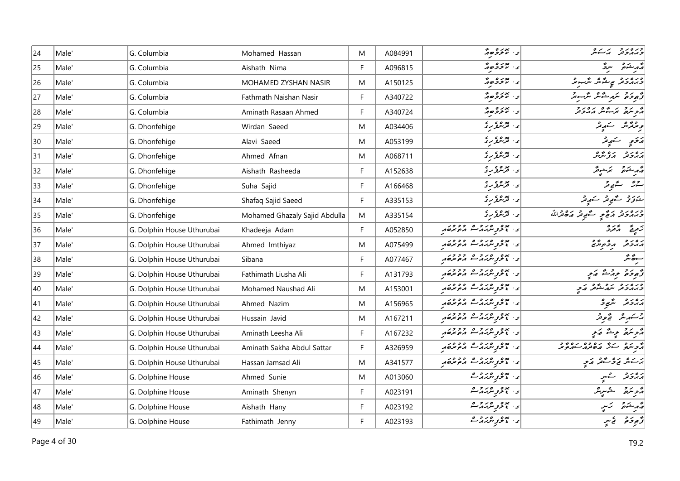| 24 | Male' | G. Columbia                | Mohamed Hassan                | M           | A084991 | پر موره م <sup>ه</sup>                                                                               | ورەرو پەسكىر                      |
|----|-------|----------------------------|-------------------------------|-------------|---------|------------------------------------------------------------------------------------------------------|-----------------------------------|
| 25 | Male' | G. Columbia                | Aishath Nima                  | $\mathsf F$ | A096815 | ر برده و.<br>د ۲۰ مرد <i>۱</i> ۰۵                                                                    | أوكر شوكو المسركة                 |
| 26 | Male' | G. Columbia                | MOHAMED ZYSHAN NASIR          | M           | A150125 | ى سورە پە                                                                                            | ورەرو پېشر شبوتر                  |
| 27 | Male' | G. Columbia                | Fathmath Naishan Nasir        | F.          | A340722 | پر موره مر<br>د ۱ مورځ م                                                                             | ۇۋۇۋ سەڭس سەبىر                   |
| 28 | Male' | G. Columbia                | Aminath Rasaan Ahmed          | F           | A340724 | ر به ده ه د                                                                                          | و سرو در ده د در در د             |
| 29 | Male' | G. Dhonfehige              | Wirdan Saeed                  | ${\sf M}$   | A034406 | ى - قرىرى تورى                                                                                       | ويرتزينر سنهيتر                   |
| 30 | Male' | G. Dhonfehige              | Alavi Saeed                   | M           | A053199 | ى قرشۇرى                                                                                             | أركم كتوفر                        |
| 31 | Male' | G. Dhonfehige              | Ahmed Afnan                   | M           | A068711 | ى - قرىرى تورى                                                                                       | رەرد رەپرە                        |
| 32 | Male' | G. Dhonfehige              | Aishath Rasheeda              | $\mathsf F$ | A152638 | — پره ده د د                                                                                         | أقهر مشكاتها المتحر المحرورة      |
| 33 | Male' | G. Dhonfehige              | Suha Sajid                    | F           | A166468 | ى قرشۇرۇ                                                                                             |                                   |
| 34 | Male' | G. Dhonfehige              | Shafaq Sajid Saeed            | F           | A335153 | ى بىر ھەم بەي                                                                                        | شۇنۇ ئۇ سىمەت سىمەتتىر            |
| 35 | Male' | G. Dhonfehige              | Mohamed Ghazaly Sajid Abdulla | M           | A335154 | ى - تېرىۋېرى                                                                                         | وره رو زيج و سگه تر مكافرالله     |
| 36 | Male' | G. Dolphin House Uthurubai | Khadeeja Adam                 | F           | A052850 |                                                                                                      | زَمِرِجٌ مُرْمَرَدٌ               |
| 37 | Male' | G. Dolphin House Uthurubai | Ahmed Imthiyaz                | ${\sf M}$   | A075499 | بره و مردم دور.<br>د اور مرکز است مونده د                                                            | بر ه بر د<br>مرکز فر<br>ە ئەھەدىج |
| 38 | Male' | G. Dolphin House Uthurubai | Sibana                        | F           | A077467 | بره و مرد و دود.<br>د عود مرکز و مومرحه                                                              | سەھەتىر                           |
| 39 | Male' | G. Dolphin House Uthurubai | Fathimath Liusha Ali          | F           | A131793 | צ' איכן מגורש גם דורג<br>צ' איכן מגורש גם דיכן                                                       | أقرموهم وممش كالمو                |
| 40 | Male' | G. Dolphin House Uthurubai | Mohamed Naushad Ali           | M           | A153001 | ی عمود مرکزم مورده                                                                                   | ورەرو رومۇم كەير                  |
| 41 | Male' | G. Dolphin House Uthurubai | Ahmed Nazim                   | M           | A156965 | بره و ورد و دودر<br>د عوز مرکز که مونز م                                                             | د د د د سره و                     |
| 42 | Male' | G. Dolphin House Uthurubai | Hussain Javid                 | M           | A167211 | ن المور مرکز من دو در در من                                                                          | جرستمبر شكر وتحرير                |
| 43 | Male' | G. Dolphin House Uthurubai | Aminath Leesha Ali            | F           | A167232 | د العروب مركز من العراق بير بعد العراق به العراق به العراق به العراق به العراق به العراق به العراق ب | أأترسكم ويثق أتوا                 |
| 44 | Male' | G. Dolphin House Uthurubai | Aminath Sakha Abdul Sattar    | $\mathsf F$ | A326959 | ی عود مردم و دودر                                                                                    | به رو دی ره وه ره بود             |
| 45 | Male' | G. Dolphin House Uthurubai | Hassan Jamsad Ali             | M           | A341577 | צי איצק יינג'ול היו גידור ג'<br>צי איצק יינג'ול היו גידור ג                                          | يركبون والمحافر أتكمح             |
| 46 | Male' | G. Dolphine House          | Ahmed Sunie                   | ${\sf M}$   | A013060 | ى مېمور مر <i>ز م</i>                                                                                | رەر ئەس                           |
| 47 | Male' | G. Dolphine House          | Aminath Shenyn                | F           | A023191 | ى بىي تۇ توپرىدىكەت كە                                                                               | أأترج سكرة كالتقيير               |
| 48 | Male' | G. Dolphine House          | Aishath Hany                  | $\mathsf F$ | A023192 | ى مىچ قۇ پەرتەر ھ                                                                                    | ا پر مرکب تھے۔<br>ا               |
| 49 | Male' | G. Dolphine House          | Fathimath Jenny               | F           | A023193 | ى مىم قوي ئىرىدە ئە                                                                                  | وَجوحَر وَ سَمِ                   |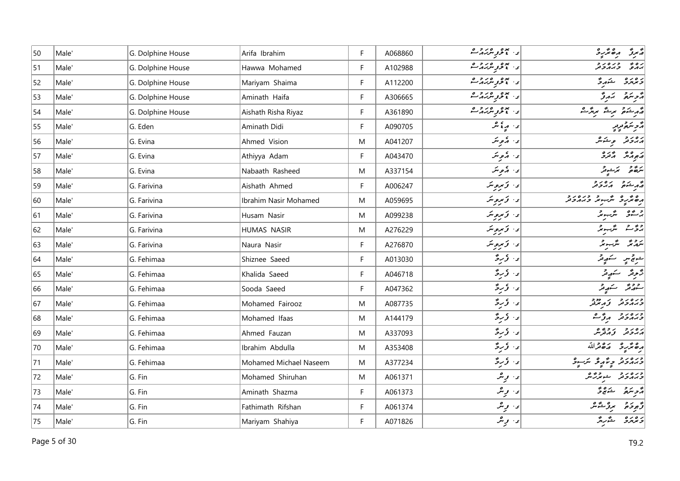| 50 | Male' | G. Dolphine House | Arifa Ibrahim          | F         | A068860 | ى بىم قور مەر <i>مەر ھى</i>                           | رە ئۈرۈ<br>ە ئىمىرىتى<br>م                     |
|----|-------|-------------------|------------------------|-----------|---------|-------------------------------------------------------|------------------------------------------------|
| 51 | Male' | G. Dolphine House | Hawwa Mohamed          | F         | A102988 | ى بىم قور ش <i>رىر مى</i><br>ئىستىم قور <i>مەرىرى</i> | رەپە<br> پەرى<br>و ره ر د<br><i>د ب</i> رگرفر  |
| 52 | Male' | G. Dolphine House | Mariyam Shaima         | F         | A112200 | <sub>ى</sub> بىم قويە تەرىخ مە                        | ر ه ر ه<br><del>د</del> بربرگ<br>شەرگە         |
| 53 | Male' | G. Dolphine House | Aminath Haifa          | F         | A306665 | <sub>ى</sub> بىم قويە تەرىپ م                         | أأدجن أأراد                                    |
| 54 | Male' | G. Dolphine House | Aishath Risha Riyaz    | F         | A361890 | <sub>ى</sub> بىم قور مەر ئەھ                          | ۇرىشقى برىش برۇت                               |
| 55 | Male' | G. Eden           | Aminath Didi           | F         | A090705 | ى بەر ئەنگە                                           | ر<br>د گرېنگو توپو                             |
| 56 | Male' | G. Evina          | Ahmed Vision           | M         | A041207 | ى ئەھمەتىكە                                           | رەرد وشك                                       |
| 57 | Male' | G. Evina          | Athiyya Adam           | F         | A043470 | ی گھونٹر                                              | ה'המית הנקס                                    |
| 58 | Male' | G. Evina          | Nabaath Rasheed        | ${\sf M}$ | A337154 | ا <sup>ی </sup> مرغ متر                               | أنترك فتحمش التركسونير                         |
| 59 | Male' | G. Farivina       | Aishath Ahmed          | F         | A006247 | <mark>ء- وَمُ</mark> رِمِ مَرَ                        | م المستوفي المركز و المستوفير                  |
| 60 | Male' | G. Farivina       | Ibrahim Nasir Mohamed  | M         | A059695 | [د وَموهِ مَرَ                                        | ە بەرە شەر 30000<br>مەھەر ئەشبەت 2005ى         |
| 61 | Male' | G. Farivina       | Husam Nasir            | M         | A099238 | ء و ترمومتر                                           | ر محمده الترکیب کرد.<br>ایرانسکرد              |
| 62 | Male' | G. Farivina       | HUMAS NASIR            | M         | A276229 | ى كۆمپەتە                                             | جۇ شەھرىدىگە                                   |
| 63 | Male' | G. Farivina       | Naura Nasir            | F         | A276870 | اء · وَموه مَرَ                                       | للرومج المرسومر                                |
| 64 | Male' | G. Fehimaa        | Shiznee Saeed          | F         | A013030 | ى كۆرگە                                               | شوچمىيە سكھپەتمر                               |
| 65 | Male' | G. Fehimaa        | Khalida Saeed          | F         | A046718 | ى ئۇرۇ                                                | تزویژ سکھیٹر                                   |
| 66 | Male' | G. Fehimaa        | Sooda Saeed            | F         | A047362 | ى كۆرگە                                               | لەد ئەرگىرىگە                                  |
| 67 | Male' | G. Fehimaa        | Mohamed Fairooz        | M         | A087735 | ء و و روٌ                                             | ورەرو كەبىر                                    |
| 68 | Male' | G. Fehimaa        | Mohamed Ifaas          | M         | A144179 | ى ئۇرۇ                                                | ورەر دۇپ                                       |
| 69 | Male' | G. Fehimaa        | Ahmed Fauzan           | ${\sf M}$ | A337093 | ى ئۇرۇ                                                | رەرد روپرە                                     |
| 70 | Male' | G. Fehimaa        | Ibrahim Abdulla        | ${\sf M}$ | A353408 | ى ئۇرۇ                                                | أرە يۇر ئەھ قىراللە                            |
| 71 | Male' | G. Fehimaa        | Mohamed Michael Naseem | ${\sf M}$ | A377234 | ى كۆرگە                                               | כנסגב כְיוֹת כ ית ייכ                          |
| 72 | Male' | G. Fin            | Mohamed Shiruhan       | ${\sf M}$ | A061371 | ى - يوش                                               | ورەرو ھەردە<br><i>وبەم</i> ونر ھەر <i>دى</i> ر |
| 73 | Male' | G. Fin            | Aminath Shazma         | F         | A061373 | ى وپى                                                 | أأزويتهم شوجرة                                 |
| 74 | Male' | G. Fin            | Fathimath Rifshan      | F         | A061374 | اړ. ویژ                                               | و څې پر د<br>ىر ئۇ ھەڭدىر                      |
| 75 | Male' | G. Fin            | Mariyam Shahiya        | F         | A071826 | ی ویژگ                                                | و ده ده و شمر ش                                |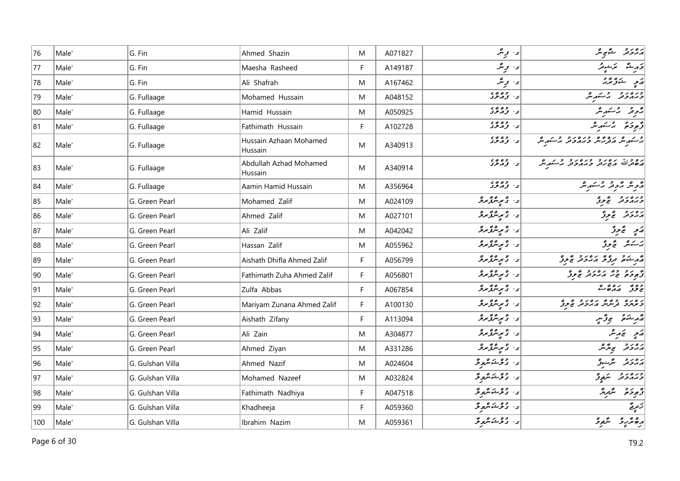| 76  | Male' | G. Fin           | Ahmed Shazin                      | M  | A071827 | ء <sub>'</sub> ویگر                                                                                                                                                                                                                                                                                                                                                                                                                                                                                                                                       | رەر ئەھمىر مەدىر<br>مەركىز مەدىر                                                                               |
|-----|-------|------------------|-----------------------------------|----|---------|-----------------------------------------------------------------------------------------------------------------------------------------------------------------------------------------------------------------------------------------------------------------------------------------------------------------------------------------------------------------------------------------------------------------------------------------------------------------------------------------------------------------------------------------------------------|----------------------------------------------------------------------------------------------------------------|
| 77  | Male' | G. Fin           | Maesha Rasheed                    | F. | A149187 | ای ویژگ<br>——                                                                                                                                                                                                                                                                                                                                                                                                                                                                                                                                             | كرم شكل مرشور<br>كرم شكل مرشور<br>كرم مشكل مردم                                                                |
| 78  | Male' | G. Fin           | Ali Shafrah                       | M  | A167462 | ى وپى                                                                                                                                                                                                                                                                                                                                                                                                                                                                                                                                                     |                                                                                                                |
| 79  | Male' | G. Fullaage      | Mohamed Hussain                   | M  | A048152 | وه وه.<br>د که گرگری                                                                                                                                                                                                                                                                                                                                                                                                                                                                                                                                      | ورەرو روسىمەش                                                                                                  |
| 80  | Male' | G. Fullaage      | Hamid Hussain                     | M  | A050925 | وه وه.<br>د که گرگری                                                                                                                                                                                                                                                                                                                                                                                                                                                                                                                                      | يموقر المسكريمر                                                                                                |
| 81  | Male' | G. Fullaage      | Fathimath Hussain                 | F  | A102728 | ر ده ور<br>د زمرگر                                                                                                                                                                                                                                                                                                                                                                                                                                                                                                                                        | قرود و منه شهر ش                                                                                               |
| 82  | Male' | G. Fullaage      | Hussain Azhaan Mohamed<br>Hussain | M  | A340913 | ر ده ور<br>د زمرگری                                                                                                                                                                                                                                                                                                                                                                                                                                                                                                                                       | כ הונייני ונינייני כמוכני ה הוניינייני                                                                         |
| 83  | Male' | G. Fullaage      | Abdullah Azhad Mohamed<br>Hussain | M  | A340914 | د ۱۵۶ وه د                                                                                                                                                                                                                                                                                                                                                                                                                                                                                                                                                | ره والله مرور و دره در و در مرد                                                                                |
| 84  | Male' | G. Fullaage      | Aamin Hamid Hussain               | M  | A356964 | د ۱ وه و د                                                                                                                                                                                                                                                                                                                                                                                                                                                                                                                                                | ړو پر پروټر برخته پر                                                                                           |
| 85  | Male' | G. Green Pearl   | Mohamed Zalif                     | M  | A024109 | $\left  \begin{array}{ccc} \texttt{c} & \texttt{c} & \texttt{c} \ & \texttt{c} & \texttt{c} \ & \texttt{c} & \texttt{c} \ \end{array} \right $                                                                                                                                                                                                                                                                                                                                                                                                            | ورەرو پەرو                                                                                                     |
| 86  | Male' | G. Green Pearl   | Ahmed Zalif                       | M  | A027101 | ء کا مریٹرنگرمرنگ                                                                                                                                                                                                                                                                                                                                                                                                                                                                                                                                         | رەرد ئەرۇ                                                                                                      |
| 87  | Male' | G. Green Pearl   | Ali Zalif                         | M  | A042042 | ، ئەسپىر ئەركىلى ئىسكى ئىسكى ئىسكى ئىسكى ئىسكى ئىسكى ئىسكى ئىسكى ئىسكى ئىسكى ئىسكى ئىسكى ئىسكى ئىسكى ئىسكى ئىس<br>مەنبە                                                                                                                                                                                                                                                                                                                                                                                                                                   | ړې ځېږي<br>درخه ځېږي                                                                                           |
| 88  | Male' | G. Green Pearl   | Hassan Zalif                      | M  | A055962 | ء کا موسر و محر مرکز                                                                                                                                                                                                                                                                                                                                                                                                                                                                                                                                      |                                                                                                                |
| 89  | Male' | G. Green Pearl   | Aishath Dhifla Ahmed Zalif        | F. | A056799 | ء کی سر مرکز مرکز                                                                                                                                                                                                                                                                                                                                                                                                                                                                                                                                         | و در دو دور در در در دارد استان به در استان به در استان به در استان به در استان به در استان به دست به دست به د |
| 90  | Male' | G. Green Pearl   | Fathimath Zuha Ahmed Zalif        | F  | A056801 | $\left  \begin{array}{c} \mathcal{E} \setminus \mathcal{E} \setminus \mathcal{E} \setminus \mathcal{E} \setminus \mathcal{E} \setminus \mathcal{E} \setminus \mathcal{E} \setminus \mathcal{E} \setminus \mathcal{E} \setminus \mathcal{E} \setminus \mathcal{E} \setminus \mathcal{E} \setminus \mathcal{E} \setminus \mathcal{E} \setminus \mathcal{E} \setminus \mathcal{E} \setminus \mathcal{E} \setminus \mathcal{E} \setminus \mathcal{E} \setminus \mathcal{E} \setminus \mathcal{E} \setminus \mathcal{E} \setminus \mathcal{E} \setminus \math$ | 3222 222 222 222                                                                                               |
| 91  | Male' | G. Green Pearl   | Zulfa Abbas                       | F. | A067854 | د کامیں مرکز مرکز                                                                                                                                                                                                                                                                                                                                                                                                                                                                                                                                         | وه ده ده م                                                                                                     |
| 92  | Male' | G. Green Pearl   | Mariyam Zunana Ahmed Zalif        | F  | A100130 | ]ئ- د م <sub>ی</sub> سرو مرکز مرکز                                                                                                                                                                                                                                                                                                                                                                                                                                                                                                                        | , סגם בשב גם גם בין<br>בינות בניינייל הגבע הבנ                                                                 |
| 93  | Male' | G. Green Pearl   | Aishath Zifany                    | F  | A113094 | $\left  \begin{array}{ccc} \texttt{1} & \texttt{2} & \texttt{3} \ \texttt{3} & \texttt{4} & \texttt{5} \end{array} \right $                                                                                                                                                                                                                                                                                                                                                                                                                               | قەرشۇق بىرقىپ                                                                                                  |
| 94  | Male' | G. Green Pearl   | Ali Zain                          | M  | A304877 | ء کا میں مگر مرکز                                                                                                                                                                                                                                                                                                                                                                                                                                                                                                                                         | أتمنح بمرمثر                                                                                                   |
| 95  | Male' | G. Green Pearl   | Ahmed Ziyan                       | M  | A331286 | ى كەمپىر ئەركىرى                                                                                                                                                                                                                                                                                                                                                                                                                                                                                                                                          | رەرد پەرگە                                                                                                     |
| 96  | Male' | G. Gulshan Villa | Ahmed Nazif                       | M  | A024604 | ى كەنتى شەھرىگە                                                                                                                                                                                                                                                                                                                                                                                                                                                                                                                                           | پره پر په پښتوگر                                                                                               |
| 97  | Male' | G. Gulshan Villa | Mohamed Nazeef                    | M  | A032824 | ى كەنتى شەھرىگە                                                                                                                                                                                                                                                                                                                                                                                                                                                                                                                                           | ورەر د سَنجِوْ                                                                                                 |
| 98  | Male' | G. Gulshan Villa | Fathimath Nadhiya                 | F  | A047518 | ى كەشكەرگەنگەنگەنگە                                                                                                                                                                                                                                                                                                                                                                                                                                                                                                                                       | سرٌو پر                                                                                                        |
| 99  | Male' | G. Gulshan Villa | Khadheeja                         | F  | A059360 | - ئەۋشەھر <i>ىۋ</i>                                                                                                                                                                                                                                                                                                                                                                                                                                                                                                                                       | ة روح<br>توجوجو<br>تريغ                                                                                        |
| 100 | Male' | G. Gulshan Villa | Ibrahim Nazim                     | M  | A059361 | ى كەنت شەھرىگە                                                                                                                                                                                                                                                                                                                                                                                                                                                                                                                                            | رەنزرۇ شۆر                                                                                                     |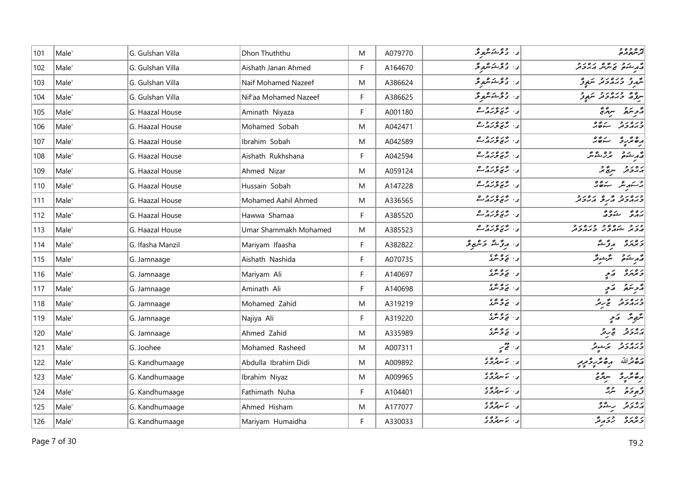| 101 | Male' | G. Gulshan Villa | Dhon Thuththu         | M           | A079770 | ، ئەتۇشەھرىگە ئىسىمبارىگە                  | پر ه و ه و<br>ترسرچ پر چ                                                                                                     |
|-----|-------|------------------|-----------------------|-------------|---------|--------------------------------------------|------------------------------------------------------------------------------------------------------------------------------|
| 102 | Male' | G. Gulshan Villa | Aishath Janan Ahmed   | F           | A164670 | ، ئەتۇشەھرىگە ئىسىمبارىگە                  |                                                                                                                              |
| 103 | Male' | G. Gulshan Villa | Naif Mohamed Nazeef   | M           | A386624 | <sub>ى ك</sub> ۇشكىرىمۇ ئى                 | شرو ورەرو شۆۋ                                                                                                                |
| 104 | Male' | G. Gulshan Villa | Nif'aa Mohamed Nazeef | F           | A386625 | <sub>ى ك</sub> ۇشكىرە ئۇ                   | سور ورەرو سَيَوت                                                                                                             |
| 105 | Male' | G. Haazal House  | Aminath Niyaza        | F           | A001180 | ى ئەتمەم ئەرەپ                             | ومحر يتكفى المسترجيح                                                                                                         |
| 106 | Male' | G. Haazal House  | Mohamed Sobah         | M           | A042471 | ى گەن قارچە ھ                              | وره رو دره و                                                                                                                 |
| 107 | Male' | G. Haazal House  | Ibrahim Sobah         | M           | A042589 | ى گەنمى ئەرەپ ھ                            | بەھ<br>ەرھەترىر <sup>ى</sup>                                                                                                 |
| 108 | Male' | G. Haazal House  | Aishath Rukhshana     | $\mathsf F$ | A042594 | ى گەنج بۇرۇپ،                              | ۇرىشكى ئۆزىشگىر                                                                                                              |
| 109 | Male' | G. Haazal House  | Ahmed Nizar           | M           | A059124 | ى گەنج بۇرۇپ،                              | أرور و سرچ مر                                                                                                                |
| 110 | Male' | G. Haazal House  | Hussain Sobah         | M           | A147228 | ى گەنج بۇرۇپ،                              | بر شهر شهر در محمد                                                                                                           |
| 111 | Male' | G. Haazal House  | Mohamed Aahil Ahmed   | M           | A336565 | ى گەنۇر قىرى                               | כממכים מים מסמכי<br>כממכים מים ממכים                                                                                         |
| 112 | Male' | G. Haazal House  | Hawwa Shamaa          | F           | A385520 | ى گەنۇر كەر                                | برە ئەرەپ                                                                                                                    |
| 113 | Male' | G. Haazal House  | Umar Shammakh Mohamed | M           | A385523 | ى گەن قەر قى                               |                                                                                                                              |
| 114 | Male' | G. Ifasha Manzil | Mariyam Ifaasha       | $\mathsf F$ | A382822 | <sub>ى: م</sub> وژىئە ئ <sup>ې</sup> مىي ۋ | ويرمرو بروَّجة                                                                                                               |
| 115 | Male' | G. Jamnaage      | Aishath Nashida       | F           | A070735 | ر ہ رہ دی<br>ی گے جنگزی                    | أصمر مشكوهم المستكر شوفكر                                                                                                    |
| 116 | Male' | G. Jamnaage      | Mariyam Ali           | F           | A140697 | ى بەھ ئەتە                                 | د ۱۵ د مړي                                                                                                                   |
| 117 | Male' | G. Jamnaage      | Aminath Ali           | F           | A140698 | ى بەھ ئەي                                  | أزوينهم أربع                                                                                                                 |
| 118 | Male' | G. Jamnaage      | Mohamed Zahid         | M           | A319219 | ى بەھ ئەي                                  | ورەرو ئەرو                                                                                                                   |
| 119 | Male' | G. Jamnaage      | Najiya Ali            | F           | A319220 | ى بەھ ئەي                                  | شَعِيرٌ مَدِ                                                                                                                 |
| 120 | Male' | G. Jamnaage      | Ahmed Zahid           | M           | A335989 | ى بەھ ئەي                                  | پره پر ځ برتر                                                                                                                |
| 121 | Male' | G. Joohee        | Mohamed Rasheed       | M           | A007311 | ر دور<br>ر گھر                             | وره رو کرشونگر<br><i>ویدو</i> ونگر کرشونگر                                                                                   |
| 122 | Male' | G. Kandhumaage   | Abdulla Ibrahim Didi  | M           | A009892 | ر ر ده ده<br>د ۱ ماس ترو د                 | رە داللە مەھمىردىدىد                                                                                                         |
| 123 | Male' | G. Kandhumaage   | Ibrahim Niyaz         | M           | A009965 | ى ·   ئەسرچرى ،<br>ى ·   ئەسرچرى ،         | ە ھەترىرى<br>بر ھەترىرى<br>$\overline{\overset{\circ}{\mathcal{E}}\overset{\circ}{\mathcal{F}}\overset{\circ}{\mathcal{F}}}$ |
| 124 | Male' | G. Kandhumaage   | Fathimath Nuha        | F           | A104401 | ى ·   ئەسرچرى ،<br>ى ·   ئەسرچرى ،         | ء بر د<br>ارتبوچه<br>سرتر                                                                                                    |
| 125 | Male' | G. Kandhumaage   | Ahmed Hisham          | M           | A177077 | ى سىم سرچرى                                | أرەر دىگە                                                                                                                    |
| 126 | Male' | G. Kandhumaage   | Mariyam Humaidha      | F           | A330033 | ى ، كەس قرۇكى                              | رەرە درىد                                                                                                                    |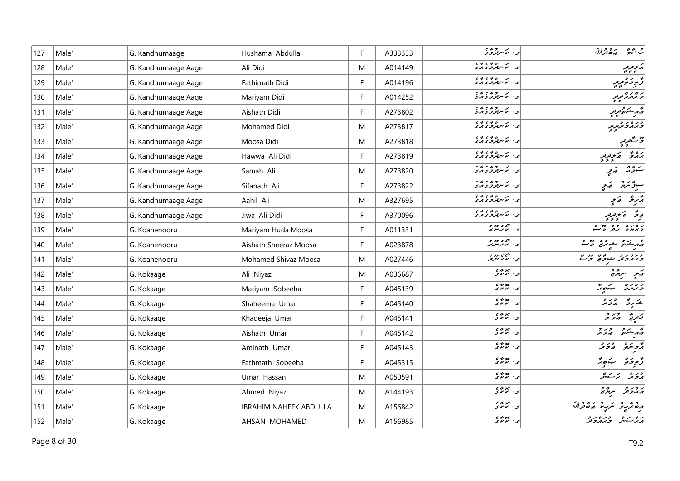| 127 | Male' | G. Kandhumaage      | Hushama Abdulla               | $\mathsf F$ | A333333 | ى ·   ئەسەردى<br>ئ                            | ر شەپى<br>وكالقصيص                    |
|-----|-------|---------------------|-------------------------------|-------------|---------|-----------------------------------------------|---------------------------------------|
| 128 | Male' | G. Kandhumaage Aage | Ali Didi                      | M           | A014149 | ر به سرچرۍ دی.<br>د ۱۰ سرچرۍ درې              | پر و در در<br>                        |
| 129 | Male' | G. Kandhumaage Aage | Fathimath Didi                | F           | A014196 | ى سىم سرچرى ئەرى<br>ى سىم سرچرى تەرى          | تر و د و در در                        |
| 130 | Male' | G. Kandhumaage Aage | Mariyam Didi                  | F           | A014252 | ى سىسى تەرەپ ئەت<br>ئ                         | <br> ویمبروترتر<br> ویمبروتری         |
| 131 | Male' | G. Kandhumaage Aage | Aishath Didi                  | F           | A273802 | د . که سرچرۍ دی.<br>د . که سرچرۍ دری          | ء<br>د گهرڪو گھري س                   |
| 132 | Male' | G. Kandhumaage Aage | Mohamed Didi                  | M           | A273817 |                                               |                                       |
| 133 | Male' | G. Kandhumaage Aage | Moosa Didi                    | M           | A273818 | د . که سرچرۍ دی.<br>د . که سرچرۍ دری          | دد گرورو<br>تر گورور                  |
| 134 | Male' | G. Kandhumaage Aage | Hawwa Ali Didi                | F           | A273819 | ی که سرچرۍ دی.<br>ی که سرچرۍ دری              | ر ه و<br>پروتو<br>د کو در در<br>مشخصی |
| 135 | Male' | G. Kandhumaage Aage | Samah Ali                     | M           | A273820 | د به روی ده<br>د به سهرد در                   | شۇق كەم                               |
| 136 | Male' | G. Kandhumaage Aage | Sifanath Ali                  | F           | A273822 | د . ناس وه د » د »<br>د . ناس ترو د د د       | سىز ئىبر<br>رځمنې                     |
| 137 | Male' | G. Kandhumaage Aage | Aahil Ali                     | M           | A327695 | ى سىسى تەرەپ ئەتەرى<br>ئ                      | أثرير أتأمي                           |
| 138 | Male' | G. Kandhumaage Aage | Jiwa Ali Didi                 | F           | A370096 | د . که سرچرۍ دی.<br>د . که سرچرۍ دری          | د هم گروپور<br>ر                      |
| 139 | Male' | G. Koahenooru       | Mariyam Huda Moosa            | F           | A011331 | م م دو و<br>ي - ما مرس                        | دەرە دې دىر                           |
| 140 | Male' | G. Koahenooru       | Aishath Sheeraz Moosa         | F           | A023878 | ے بات دو و<br>ی سمار سرپل                     | ۇرىشۇ خېرى ۋىگ                        |
| 141 | Male' | G. Koahenooru       | Mohamed Shivaz Moosa          | M           | A027446 | ے ، کار والا والا<br>ی ، کارکس                | ورەرو بەھ «ئ                          |
| 142 | Male' | G. Kokaage          | Ali Niyaz                     | M           | A036687 | $\begin{array}{c} 1 & 1 \\ 1 & 1 \end{array}$ |                                       |
| 143 | Male' | G. Kokaage          | Mariyam Sobeeha               | F           | A045139 | پر موجود ته<br>په ۱ <b>۷</b> کل               | ر ه ر ه<br>د بربرگ<br>سەھ بە          |
| 144 | Male' | G. Kokaage          | Shaheema Umar                 | F           | A045140 | په سوچ <sub>ک</sub> ه<br>ي                    | شەرىخە<br>ەرىر                        |
| 145 | Male' | G. Kokaage          | Khadeeja Umar                 | F           | A045141 | په سوچ <sub>ک</sub> ه<br>ي                    | زَمرِيحَ كَ وَرَكْبَرَ                |
| 146 | Male' | G. Kokaage          | Aishath Umar                  | F           | A045142 | پر موجود ته<br>په ۱ <b>۷</b> کل               | و در در در<br>مهرشتنی مرد بر          |
| 147 | Male' | G. Kokaage          | Aminath Umar                  | F           | A045143 | $\begin{array}{c} 1 & 1 \\ 1 & 1 \end{array}$ | ړ ده ده ده                            |
| 148 | Male' | G. Kokaage          | Fathmath Sobeeha              | F           | A045315 | ر به ده و                                     | وتبوده بنوبة                          |
| 149 | Male' | G. Kokaage          | Umar Hassan                   | M           | A050591 | ر به ده و                                     | وروا برسكان                           |
| 150 | Male' | G. Kokaage          | Ahmed Niyaz                   | M           | A144193 | بر موجود<br>يا موندي                          | גפנק ייטרה                            |
| 151 | Male' | G. Kokaage          | <b>IBRAHIM NAHEEK ABDULLA</b> | M           | A156842 | ر به ده و                                     | مەھ ئىرى ئىرىر مەھ ئى                 |
| 152 | Male' | G. Kokaage          | AHSAN MOHAMED                 | M           | A156985 | په سوچ <sub>ک</sub> ه<br>ي                    | ره ره دره در                          |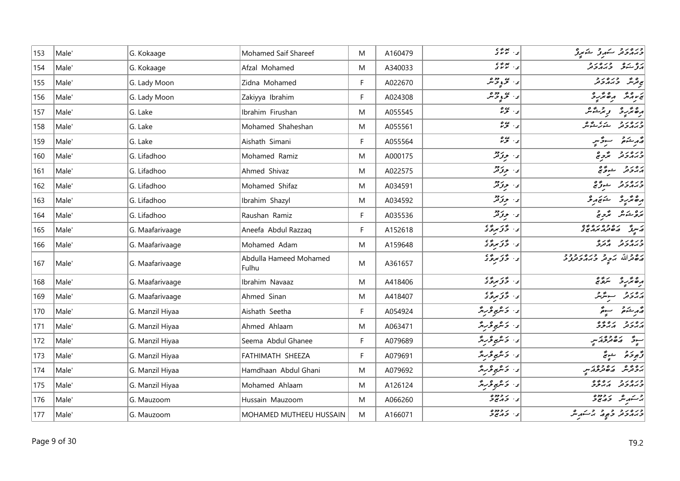| 153 | Male' | G. Kokaage      | <b>Mohamed Saif Shareef</b>     | M           | A160479 | لى بىر ئەر                                                 | ويهدونه سهرة لمنهور                                    |
|-----|-------|-----------------|---------------------------------|-------------|---------|------------------------------------------------------------|--------------------------------------------------------|
| 154 | Male' | G. Kokaage      | Afzal Mohamed                   | M           | A340033 | $555 - 5$                                                  | ره ده دره دد                                           |
| 155 | Male' | G. Lady Moon    | Zidna Mohamed                   | F           | A022670 | ، عود ودهر                                                 | پر شرق در در د                                         |
| 156 | Male' | G. Lady Moon    | Zakiyya Ibrahim                 | F.          | A024308 | ر به عروم در در ایران<br>مربوع استفاده برای میکند که ایران | بمرمش مصريرة                                           |
| 157 | Male' | G. Lake         | Ibrahim Firushan                | M           | A055545 | ى بى ھە                                                    | رەتزىر رىزىشىر                                         |
| 158 | Male' | G. Lake         | Mohamed Shaheshan               | M           | A055561 | ى بى جەن                                                   | ورەرو دىرى.<br><i>دىنەم</i> وتر خىرىشەر                |
| 159 | Male' | G. Lake         | Aishath Simani                  | $\mathsf F$ | A055564 | ى بى ھ                                                     | ۇرمۇق سوڭس                                             |
| 160 | Male' | G. Lifadhoo     | Mohamed Ramiz                   | M           | A000175 | ا د به موتوفر<br>ا                                         | ورەر دەر                                               |
| 161 | Male' | G. Lifadhoo     | Ahmed Shivaz                    | M           | A022575 | ، وژنژ                                                     | رەر ئەرمى<br>مەرىبى ئىدۇنج                             |
| 162 | Male' | G. Lifadhoo     | Mohamed Shifaz                  | M           | A034591 | د وزند                                                     | ورەر دېمبور                                            |
| 163 | Male' | G. Lifadhoo     | Ibrahim Shazyl                  | M           | A034592 | ء · موتونژ                                                 | رەترىرۇ شىمر                                           |
| 164 | Male' | G. Lifadhoo     | Raushan Ramiz                   | $\mathsf F$ | A035536 | ى موتونژ                                                   | ىرە ئىكەش ئىگرىنى                                      |
| 165 | Male' | G. Maafarivaage | Aneefa Abdul Razzaq             | F           | A152618 | ، ئۇزىر <i>ۇ</i> ئ                                         | ر سرگاه ده وه بره ده.<br>در سرگاه در حدد سرم بر        |
| 166 | Male' | G. Maafarivaage | Mohamed Adam                    | M           | A159648 | ، ئۇزىر <i>ۇ</i> ئ                                         | כנסנב בנס                                              |
| 167 | Male' | G. Maafarivaage | Abdulla Hameed Mohamed<br>Fulhu | M           | A361657 | ء <sub>َ</sub> گۇكۇمۇگە                                    | ره و الله برد و دره د دود.<br>مصرالله برد و بر د مرومز |
| 168 | Male' | G. Maafarivaage | Ibrahim Navaaz                  | M           | A418406 | <sub>ى:</sub> ئۇزىرغۇ                                      | תפתוב תו                                               |
| 169 | Male' | G. Maafarivaage | Ahmed Sinan                     | M           | A418407 | ى ئۇگىرىمى                                                 | ره د د کرد .<br>اربرد ته سوسرس                         |
| 170 | Male' | G. Manzil Hiyaa | Aishath Seetha                  | $\mathsf F$ | A054924 | ى ئەشھۇرىد                                                 | أقرم شوقتهم فلتستقر                                    |
| 171 | Male' | G. Manzil Hiyaa | Ahmed Ahlaam                    | M           | A063471 | ى ئەھبىر بۇرىژ                                             | גם גם גם 20<br>הגבת הג <del>ל</del> כ                  |
| 172 | Male' | G. Manzil Hiyaa | Seema Abdul Ghanee              | $\mathsf F$ | A079689 | ى ئەھمىدىگە                                                | سوځ د صدر د کمکړينې<br>  د ځمکې سوځ د کمکړينې          |
| 173 | Male' | G. Manzil Hiyaa | FATHIMATH SHEEZA                | F           | A079691 | ى ئەھمىدىگە                                                | وحدد سيسمح                                             |
| 174 | Male' | G. Manzil Hiyaa | Hamdhaan Abdul Ghani            | M           | A079692 | ى ئەھبىر قرىد                                              | رە دە دەرەترىدىر<br>بەرتۇس مەھىرىرىش                   |
| 175 | Male' | G. Manzil Hiyaa | Mohamed Ahlaam                  | M           | A126124 | ، ئەنگى <sub>م</sub> بۇرى <i>گە</i>                        | כנסנכ נסשם<br>כ <i>נ</i> וכנ וג <del>ע</del> כ         |
| 176 | Male' | G. Mauzoom      | Hussain Mauzoom                 | M           | A066260 | י ברים<br>צ' כונאב                                         | ג הוניים בניהם                                         |
| 177 | Male' | G. Mauzoom      | MOHAMED MUTHEEU HUSSAIN         | M           | A166071 | ג דרדם<br>צ' <i>ד</i> אשר                                  |                                                        |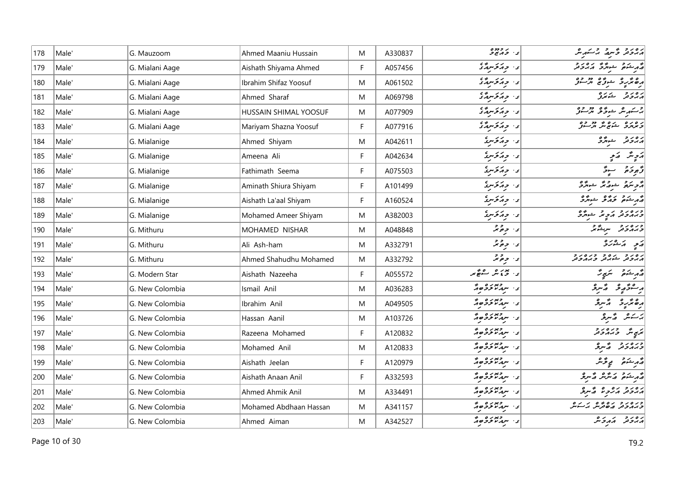| 178 | Male' | G. Mauzoom      | Ahmed Maaniu Hussain   | M           | A330837 | י ברבס<br>ג' כתבכ                   | גפיד ביינג גבותית                                            |
|-----|-------|-----------------|------------------------|-------------|---------|-------------------------------------|--------------------------------------------------------------|
| 179 | Male' | G. Mialani Aage | Aishath Shiyama Ahmed  | $\mathsf F$ | A057456 | ى دېمۇسىدى                          | مەر شىم شىر ئەر بەر د                                        |
| 180 | Male' | G. Mialani Aage | Ibrahim Shifaz Yoosuf  | M           | A061502 | ء ويزوَسِدُوْ                       | ەھەر بەھ ھەر بول دەر دەر<br>بەھەر بەھ ھەر بول دور            |
| 181 | Male' | G. Mialani Aage | Ahmed Sharaf           | M           | A069798 | ى - جەڭمۇسمەتى                      | رەرد خەرە                                                    |
| 182 | Male' | G. Mialani Aage | HUSSAIN SHIMAL YOOSUF  | M           | A077909 |                                     | ج ڪرما ھي ھي ھي جو حاد وار<br>جا ڪرما ھي ھي ھي ھي ھي جو ساحو |
| 183 | Male' | G. Mialani Aage | Mariyam Shazna Yoosuf  | F           | A077916 | ى جەڭمۇسىدە                         | ر ٥ ر ٥ _ ر ٥ يو و ٥ و ٥<br>تر بربرتر _ شويح سر بر سوتر      |
| 184 | Male' | G. Mialanige    | Ahmed Shiyam           | M           | A042611 | ى بەركەتبەتكە                       | برەر دىشرو                                                   |
| 185 | Male' | G. Mialanige    | Ameena Ali             | F           | A042634 | ى - ئەتمەتتىرى                      | ړې په کړې                                                    |
| 186 | Male' | G. Mialanige    | Fathimath Seema        | F           | A075503 | ا <sup>ی ب</sup> ر <i>مرکز</i> سرهٔ | توجوحتم<br>سيڙ                                               |
| 187 | Male' | G. Mialanige    | Aminath Shiura Shiyam  | F           | A101499 | ى بەركەترىكى                        | ה ביתה ליהוד ליית                                            |
| 188 | Male' | G. Mialanige    | Aishath La'aal Shiyam  | F           | A160524 | ى ئەرەكتەرى                         | ה' תיים בהב ייתכ                                             |
| 189 | Male' | G. Mialanige    | Mohamed Ameer Shiyam   | M           | A382003 | ى بەركەترىكى                        | כממכת הכת התבל                                               |
| 190 | Male' | G. Mithuru      | MOHAMED NISHAR         | M           | A048848 | ی وجوی                              | ورەرو س <sup>ىق</sup> ەر                                     |
| 191 | Male' | G. Mithuru      | Ali Ash-ham            | M           | A332791 | ی وجونړ                             | أقذي أقريص                                                   |
| 192 | Male' | G. Mithuru      | Ahmed Shahudhu Mohamed | M           | A332792 | ی وجونړ                             | ره ر و بر و و ره د و<br>مهرونر څوبرنر وبرمرونر               |
| 193 | Male' | G. Modern Star  | Aishath Nazeeha        | F           | A055572 | ى بىر بىر شۇمىر                     | وكرم شكو أسكني ك                                             |
| 194 | Male' | G. New Colombia | Ismail Anil            | M           | A036283 | zoozzar .s                          | ارىقۇرېۋ                                                     |
| 195 | Male' | G. New Colombia | Ibrahim Anil           | M           | A049505 | ז ייממינים מ                        | وەتمەر ئەر                                                   |
| 196 | Male' | G. New Colombia | Hassan Aanil           | M           | A103726 |                                     | ئەسەئى <sup>س</sup><br>پ <sup>ر</sup> سرچ                    |
| 197 | Male' | G. New Colombia | Razeena Mohamed        | F           | A120832 | 2001x3<br>2001x200                  | و ره ر د<br>تر پر ژنر<br>ىمە پە ئىگە                         |
| 198 | Male' | G. New Colombia | Mohamed Anil           | M           | A120833 | سرد سره ده د<br>ى ٠                 | ورەرو ئەر                                                    |
| 199 | Male' | G. New Colombia | Aishath Jeelan         | F           | A120979 | سروسره ه د ک                        | وكركو ويحتر                                                  |
| 200 | Male' | G. New Colombia | Aishath Anaan Anil     | F           | A332593 | د پر رو ه د<br>سره سر د ده د<br>ى ٠ | ە ئەستىم كەنترىكى ئەسرى                                      |
| 201 | Male' | G. New Colombia | Ahmed Ahmik Anil       | M           | A334491 |                                     | גפגב גפגם הביתב                                              |
| 202 | Male' | G. New Colombia | Mohamed Abdhaan Hassan | M           | A341157 | צי ייממי <i>בכס</i> ת               | ورەر د رەپرە برىكى<br>جەمەدىر مەھىرىس برىكىر                 |
| 203 | Male' | G. New Colombia | Ahmed Aiman            | M           | A342527 |                                     | גפנק ההכית                                                   |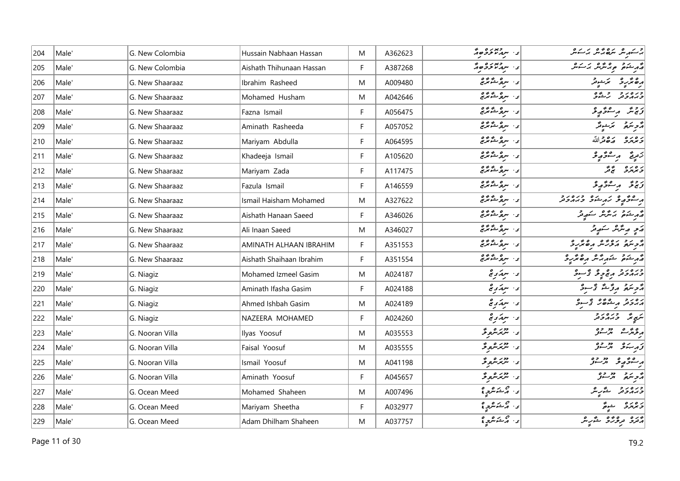| 204 | Male' | G. New Colombia | Hussain Nabhaan Hassan   | M  | A362623 |                                                                                                                                                                                                                                                                                                                                                | بر کشمر میں مرکز میں بر کشمیں               |
|-----|-------|-----------------|--------------------------|----|---------|------------------------------------------------------------------------------------------------------------------------------------------------------------------------------------------------------------------------------------------------------------------------------------------------------------------------------------------------|---------------------------------------------|
| 205 | Male' | G. New Colombia | Aishath Thihunaan Hassan | F  | A387268 | צי ייממי <i>בכ</i> סת                                                                                                                                                                                                                                                                                                                          | ەرىشە ئەر ئەسىر ئەسەس                       |
| 206 | Male' | G. New Shaaraaz | Ibrahim Rasheed          | M  | A009480 |                                                                                                                                                                                                                                                                                                                                                | ىر <i>ە ئۈر ئەسىر تۈ</i>                    |
| 207 | Male' | G. New Shaaraaz | Mohamed Husham           | M  | A042646 | ى سرەڭ ئىرى                                                                                                                                                                                                                                                                                                                                    | ورەرو ويۇۋ                                  |
| 208 | Male' | G. New Shaaraaz | Fazna Ismail             | F  | A056475 | ى سرە شەمرىم                                                                                                                                                                                                                                                                                                                                   | ىز تەشر بەر شەۋىر بى                        |
| 209 | Male' | G. New Shaaraaz | Aminath Rasheeda         | F  | A057052 | ى سرەڭ ئىگە                                                                                                                                                                                                                                                                                                                                    | أزويتكم أأترشوش                             |
| 210 | Male' | G. New Shaaraaz | Mariyam Abdulla          | F  | A064595 | ى سرەڭ ئىرىم                                                                                                                                                                                                                                                                                                                                   | ر ه ر ه<br><del>ر</del> بربرگ<br>وكحصارالله |
| 211 | Male' | G. New Shaaraaz | Khadeeja Ismail          | F  | A105620 | ى . سرەڭ شەمىرىنى                                                                                                                                                                                                                                                                                                                              | برے څه یو<br> ترمرِيَّح                     |
| 212 | Male' | G. New Shaaraaz | Mariyam Zada             | F  | A117475 | ى سرەر شەمىرى                                                                                                                                                                                                                                                                                                                                  | ر ه ر ه<br><del>ر</del> بربرگر<br>پچ قر     |
| 213 | Male' | G. New Shaaraaz | Fazula Ismail            | F. | A146559 | ى سرە شەمىرىم                                                                                                                                                                                                                                                                                                                                  | ۇچۇ بەسەۋبەي                                |
| 214 | Male' | G. New Shaaraaz | Ismail Haisham Mohamed   | M  | A327622 | ى سرەڭ ئىرىم                                                                                                                                                                                                                                                                                                                                   | ړ گوگړي زړ شوی دره د د                      |
| 215 | Male' | G. New Shaaraaz | Aishath Hanaan Saeed     | F  | A346026 | ى سرەڭ ئىرىم                                                                                                                                                                                                                                                                                                                                   | ە ئەخكى ئاسكىل سەرق                         |
| 216 | Male' | G. New Shaaraaz | Ali Inaan Saeed          | M  | A346027 | ى سرەڭ ئىرىم                                                                                                                                                                                                                                                                                                                                   | ړې په شر خوړ                                |
| 217 | Male' | G. New Shaaraaz | AMINATH ALHAAN IBRAHIM   | F  | A351553 | ى سرەڭ ئىرىم                                                                                                                                                                                                                                                                                                                                   | أأدبتهم أروشر أوه بربرد                     |
| 218 | Male' | G. New Shaaraaz | Aishath Shaihaan Ibrahim | F. | A351554 | ى سرەڭ ئىرىم                                                                                                                                                                                                                                                                                                                                   | مەر خۇم خىر بەھ برەتمرى                     |
| 219 | Male' | G. Niagiz       | Mohamed Izmeel Gasim     | M  | A024187 | ی سرمزی                                                                                                                                                                                                                                                                                                                                        | בגם בב השקב בי-ד                            |
| 220 | Male' | G. Niagiz       | Aminath Ifasha Gasim     | F. | A024188 | ى سىدىمى                                                                                                                                                                                                                                                                                                                                       | أروبته رؤيئا وبالو                          |
| 221 | Male' | G. Niagiz       | Ahmed Ishbah Gasim       | M  | A024189 | ى سىدىمى                                                                                                                                                                                                                                                                                                                                       | رەرد رىشەھر تۇسۇم                           |
| 222 | Male' | G. Niagiz       | NAZEERA MOHAMED          | F. | A024260 | ى سىمكىرىنى                                                                                                                                                                                                                                                                                                                                    | بتربيء وبرورد                               |
| 223 | Male' | G. Nooran Villa | Ilyas Yoosuf             | M  | A035553 | ى سىر شەھ ئە                                                                                                                                                                                                                                                                                                                                   | ە ئۇرگە ئەس تۇرىسى ئۇ                       |
| 224 | Male' | G. Nooran Villa | Faisal Yoosuf            | M  | A035555 | ى سرىرىشرىر قر                                                                                                                                                                                                                                                                                                                                 | ۇرىبەي «رىسى                                |
| 225 | Male' | G. Nooran Villa | Ismail Yoosuf            | M  | A041198 | - مر <sub>ىم مى</sub> روتر                                                                                                                                                                                                                                                                                                                     | ەرسىۋە قەررە                                |
| 226 | Male' | G. Nooran Villa | Aminath Yoosuf           | F. | A045657 | - مريد مهم شهو څه                                                                                                                                                                                                                                                                                                                              | أرمر ويداد وه والمحمد                       |
| 227 | Male' | G. Ocean Meed   | Mohamed Shaheen          | M  | A007496 | ى كەشكەرچ                                                                                                                                                                                                                                                                                                                                      | و ر ه ر د<br>تر پر تر تر<br>ىشترىرىش        |
| 228 | Male' | G. Ocean Meed   | Mariyam Sheetha          | F. | A032977 | $\sqrt[2]{\sum_{i=1}^{n} \sum_{j=1}^{n} \sum_{j=1}^{n} \sum_{j=1}^{n} \sum_{j=1}^{n} \sum_{j=1}^{n} \sum_{j=1}^{n} \sum_{j=1}^{n} \sum_{j=1}^{n} \sum_{j=1}^{n} \sum_{j=1}^{n} \sum_{j=1}^{n} \sum_{j=1}^{n} \sum_{j=1}^{n} \sum_{j=1}^{n} \sum_{j=1}^{n} \sum_{j=1}^{n} \sum_{j=1}^{n} \sum_{j=1}^{n} \sum_{j=1}^{n} \sum_{j=1}^{n} \sum_{j=$ | ر ه ر ه<br><del>د</del> بربرگ<br>سنوځ       |
| 229 | Male' | G. Ocean Meed   | Adam Dhilham Shaheen     | M  | A037757 | ى بەر ئەكەنلىرى ئ                                                                                                                                                                                                                                                                                                                              | أرده مرور ومحمد عقب                         |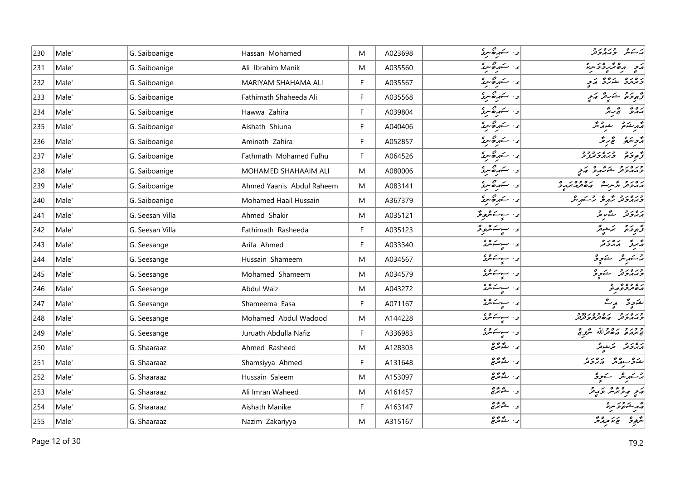| 230 | Male' | G. Saiboanige   | Hassan Mohamed            | M  | A023698 | ی سکوه سره<br>د سکوه سره                                                                                                            | يُركبش ورەرو                                                          |
|-----|-------|-----------------|---------------------------|----|---------|-------------------------------------------------------------------------------------------------------------------------------------|-----------------------------------------------------------------------|
| 231 | Male' | G. Saiboanige   | Ali Ibrahim Manik         | M  | A035560 | ی سکه هم هم می                                                                                                                      |                                                                       |
| 232 | Male' | G. Saiboanige   | MARIYAM SHAHAMA ALI       | F  | A035567 |                                                                                                                                     | رەرە شەرق كەير                                                        |
| 233 | Male' | G. Saiboanige   | Fathimath Shaheeda Ali    | F. | A035568 | $rac{c}{\sqrt{2\pi}}$                                                                                                               | أقرم وحرقه وتحفظ وكالمحيج                                             |
| 234 | Male' | G. Saiboanige   | Hawwa Zahira              | F  | A039804 | $rac{c}{\sqrt{2}}$                                                                                                                  | يەھ ئىچ سىرىتىگە                                                      |
| 235 | Male' | G. Saiboanige   | Aishath Shiuna            | F  | A040406 | $rac{c}{\sqrt{2}}$                                                                                                                  | أقهر مشوقه المسوفه تكر                                                |
| 236 | Male' | G. Saiboanige   | Aminath Zahira            | F  | A052857 | ى سەرھىبرى                                                                                                                          | أأروبتكم بمحج بربتمر                                                  |
| 237 | Male' | G. Saiboanige   | Fathmath Mohamed Fulhu    | F. | A064526 | ى سەھەرى                                                                                                                            | ه رد دره رددد<br>ژبوده دربردنرون                                      |
| 238 | Male' | G. Saiboanige   | MOHAMED SHAHAAIM ALI      | M  | A080006 |                                                                                                                                     | ورەرو شەر ۋە كەپ                                                      |
| 239 | Male' | G. Saiboanige   | Ahmed Yaanis Abdul Raheem | M  | A083141 | ى سۈرەتىرى                                                                                                                          | נפנד תיינים נפרסנים                                                   |
| 240 | Male' | G. Saiboanige   | Mohamed Haail Hussain     | M  | A367379 | $\frac{1}{2} \int_{0}^{\infty} \frac{1}{2} \, d\mu \frac{1}{2} \, d\mu \frac{1}{2} \, d\mu \frac{1}{2} \, d\mu \frac{1}{2} \, d\mu$ | ورەرو ئەرو رىسەر                                                      |
| 241 | Male' | G. Seesan Villa | Ahmed Shakir              | M  | A035121 | ا، سوسەھروت <sup>ى</sup><br>——"                                                                                                     | أرەر ئەستىرىر                                                         |
| 242 | Male' | G. Seesan Villa | Fathimath Rasheeda        | F  | A035123 | ى سېرىسكى <sub>ت</sub> موگ <sup>ى</sup>                                                                                             | أراموخاما التماسيوند                                                  |
| 243 | Male' | G. Seesange     | Arifa Ahmed               | F  | A033340 | ى - سىمىشىمىگە                                                                                                                      | ړې ده ده                                                              |
| 244 | Male' | G. Seesange     | Hussain Shameem           | M  | A034567 | ى سىرىكىشى                                                                                                                          | يز سەر شەھ بەر ئە                                                     |
| 245 | Male' | G. Seesange     | Mohamed Shameem           | M  | A034579 | ای سوسکوچوچ<br>—— <sup>پو</sup>                                                                                                     | ورەرو ئىوۋ                                                            |
| 246 | Male' | G. Seesange     | Abdul Waiz                | M  | A043272 | ای سوسکوری<br>—                                                                                                                     | ړه ده ور.<br>مەھىر <i>خرى م</i> رى                                    |
| 247 | Male' | G. Seesange     | Shameema Easa             | F  | A071167 | لى سوسىدى<br>___ ئ <sup>ى</sup>                                                                                                     | خکوځ اړینځ                                                            |
| 248 | Male' | G. Seesange     | Mohamed Abdul Wadood      | M  | A144228 | ار. سوسکوچو<br>——                                                                                                                   | وره ر و در ره وه ر دوو<br><i>و بر و حر در ه</i> ه تر <i>و و تر</i> تر |
| 249 | Male' | G. Seesange     | Juruath Abdulla Nafiz     | F. | A336983 | ای سوسکوچوچ<br>—— ځ                                                                                                                 | و در د ره د الله شرق                                                  |
| 250 | Male' | G. Shaaraaz     | Ahmed Rasheed             | M  | A128303 | ى شەھرىم                                                                                                                            | رەرو كەشەر<br>مەردىر كەشەر                                            |
| 251 | Male' | G. Shaaraaz     | Shamsiyya Ahmed           | F  | A131648 | ى شەھرىم                                                                                                                            | شكاه سره به كار د و در د                                              |
| 252 | Male' | G. Shaaraaz     | Hussain Saleem            | M  | A153097 | ى شەھرىم                                                                                                                            | ر <i>جستهر بنگر به شو</i> ر                                           |
| 253 | Male' | G. Shaaraaz     | Ali Imran Waheed          | M  | A161457 | ى شەھىرىم                                                                                                                           | أزمج ورؤ برهر وأبرقر                                                  |
| 254 | Male' | G. Shaaraaz     | Aishath Manike            | F  | A163147 | ى شەھرىم                                                                                                                            | ۇ مەسىئە <i>ھەقەس</i> رىئا                                            |
| 255 | Male' | G. Shaaraaz     | Nazim Zakariyya           | M  | A315167 | ى شەھرىم                                                                                                                            | شموش تم تم تبره مر                                                    |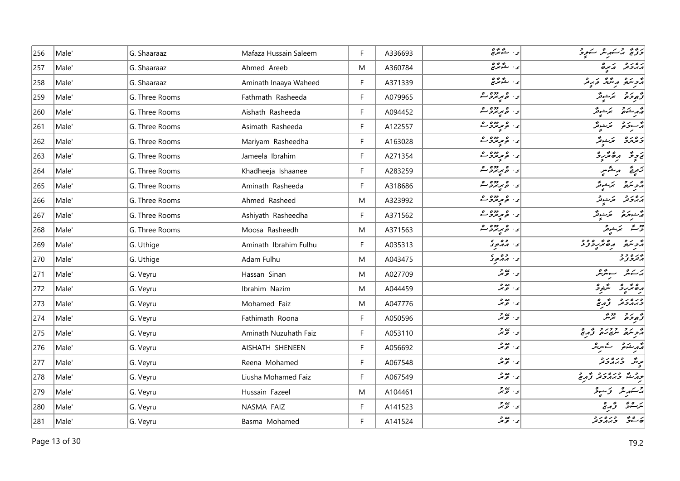| 256 | Male' | G. Shaaraaz    | Mafaza Hussain Saleem | F           | A336693 | ى شەھىرىم                           | دووس پر سر سکار کرد کرد کرد.<br>مرکزی ایرانستان |
|-----|-------|----------------|-----------------------|-------------|---------|-------------------------------------|-------------------------------------------------|
| 257 | Male' | G. Shaaraaz    | Ahmed Areeb           | M           | A360784 | ى شەھەم                             |                                                 |
| 258 | Male' | G. Shaaraaz    | Aminath Inaaya Waheed | F.          | A371339 | - شەھرىم                            | أأدمره ومتماز ورد                               |
| 259 | Male' | G. Three Rooms | Fathmath Rasheeda     | $\mathsf F$ | A079965 | ى مېر دده په                        | ۇم دە ئەجەنگە                                   |
| 260 | Male' | G. Three Rooms | Aishath Rasheeda      | F.          | A094452 | ه ده دوه ه<br>د ومرمرو ک            | مەر ئىكى ئىم ئىكىسى ئىكى                        |
| 261 | Male' | G. Three Rooms | Asimath Rasheeda      | $\mathsf F$ | A122557 | ه ده دوه م                          | وكسوكرة وأعرشوقكر                               |
| 262 | Male' | G. Three Rooms | Mariyam Rasheedha     | $\mathsf F$ | A163028 | ى مېر پر ده م                       | ويروو بمندوم                                    |
| 263 | Male' | G. Three Rooms | Jameela Ibrahim       | F           | A271354 | ، می پرچوے<br>ایسی پرچوے            | فأوقى مقتررة                                    |
| 264 | Male' | G. Three Rooms | Khadheeja Ishaanee    | F.          | A283259 | ، می پرچوے<br>اس همچند              | تزمريح ويتقسر                                   |
| 265 | Male' | G. Three Rooms | Aminath Rasheeda      | F           | A318686 | ى مۇمەير بىر ۋە م                   | ىر ئىسىيەتىر<br>ئى<br>أرمز                      |
| 266 | Male' | G. Three Rooms | Ahmed Rasheed         | M           | A323992 | <sub>ى</sub> م <sub>و</sub> پر پروڭ | رەر دىرىدۇ.                                     |
| 267 | Male' | G. Three Rooms | Ashiyath Rasheedha    | F           | A371562 | ى ھېر پروم<br>ئ                     | و شور ده ان کر شوند<br>مسلمان انتخاب            |
| 268 | Male' | G. Three Rooms | Moosa Rasheedh        | M           | A371563 | ، می پرچوے<br>ایسی پرچوں            | ووقع بمرشوقر                                    |
| 269 | Male' | G. Uthige      | Aminath Ibrahim Fulhu | $\mathsf F$ | A035313 | د ده ده<br>د مم                     | أأدينهم وكالأردود                               |
| 270 | Male' | G. Uthige      | Adam Fulhu            | M           | A043475 | وه وه<br>ي د ماره د                 | په ره و د<br>پر ترو تو تر                       |
| 271 | Male' | G. Veyru       | Hassan Sinan          | ${\sf M}$   | A027709 | ی بھی ج                             | ىزىكىش سېنگىش                                   |
| 272 | Male' | G. Veyru       | Ibrahim Nazim         | M           | A044459 | ى بىر                               | رە ئەر ئە ئىنجى                                 |
| 273 | Male' | G. Veyru       | Mohamed Faiz          | M           | A047776 | ی بھی ج                             | ورورو ومره                                      |
| 274 | Male' | G. Veyru       | Fathimath Roona       | F.          | A050596 | ی گھر<br>ی گوس                      | قهوده مرتكز                                     |
| 275 | Male' | G. Veyru       | Aminath Nuzuhath Faiz | F.          | A053110 | ى بىرى                              |                                                 |
| 276 | Male' | G. Veyru       | AISHATH SHENEEN       | F.          | A056692 | ى بىرى                              | ۇرمۇق سەربىر                                    |
| 277 | Male' | G. Veyru       | Reena Mohamed         | $\mathsf F$ | A067548 | ے میں ج<br>ت                        | برنگ ورودور                                     |
| 278 | Male' | G. Veyru       | Liusha Mohamed Faiz   | F           | A067549 | ى بىر                               | ورمث وبرودو ومرد                                |
| 279 | Male' | G. Veyru       | Hussain Fazeel        | ${\sf M}$   | A104461 | ى بىچە                              | رحم شهر و تر بینیو                              |
| 280 | Male' | G. Veyru       | NASMA FAIZ            | F           | A141523 | ی می و<br>ی گوس                     | 273                                             |
| 281 | Male' | G. Veyru       | Basma Mohamed         | F           | A141524 | ى بىر                               | ە درەرد                                         |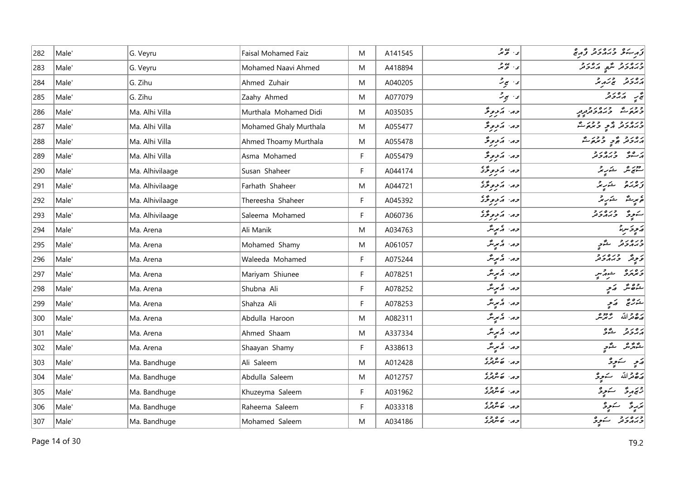| 282 | Male' | G. Veyru        | <b>Faisal Mohamed Faiz</b> | M | A141545 | ى بى ج                           | وَرَسِكُو وَرَوْرٍ وَرَحْمٍ                                                                                                                                                                                                                                                                                                   |
|-----|-------|-----------------|----------------------------|---|---------|----------------------------------|-------------------------------------------------------------------------------------------------------------------------------------------------------------------------------------------------------------------------------------------------------------------------------------------------------------------------------|
| 283 | Male' | G. Veyru        | Mohamed Naavi Ahmed        | M | A418894 | ی بھی جر                         | ورەرو شي مەدرو                                                                                                                                                                                                                                                                                                                |
| 284 | Male' | G. Zihu         | Ahmed Zuhair               | M | A040205 | ی ہج گر                          | د ه د د د محرکم محمد                                                                                                                                                                                                                                                                                                          |
| 285 | Male' | G. Zihu         | Zaahy Ahmed                | M | A077079 | ی ہج تر                          | $\begin{bmatrix} 1 & 0 & 0 & 0 \\ 0 & 0 & 0 & 0 \\ 0 & 0 & 0 & 0 \\ 0 & 0 & 0 & 0 \\ 0 & 0 & 0 & 0 \\ 0 & 0 & 0 & 0 \\ 0 & 0 & 0 & 0 \\ 0 & 0 & 0 & 0 \\ 0 & 0 & 0 & 0 \\ 0 & 0 & 0 & 0 \\ 0 & 0 & 0 & 0 & 0 \\ 0 & 0 & 0 & 0 & 0 \\ 0 & 0 & 0 & 0 & 0 \\ 0 & 0 & 0 & 0 & 0 \\ 0 & 0 & 0 & 0 & 0 & 0 \\ 0 & 0 & 0 & 0 & 0 & $ |
| 286 | Male' | Ma. Alhi Villa  | Murthala Mohamed Didi      | M | A035035 | در . ر <i>ز د</i> ورمح           | و ور مصر وره رو در در<br>و برو شر و بر د و ترتربر                                                                                                                                                                                                                                                                             |
| 287 | Male' | Ma. Alhi Villa  | Mohamed Ghaly Murthala     | M | A055477 | وړ· م <sup>ر</sup> ده د          | ورورو شي ووريح                                                                                                                                                                                                                                                                                                                |
| 288 | Male' | Ma. Alhi Villa  | Ahmed Thoamy Murthala      | M | A055478 | وړ٠ م <i>زدو</i> مځ              | ره رو و وورځ                                                                                                                                                                                                                                                                                                                  |
| 289 | Male' | Ma. Alhi Villa  | Asma Mohamed               | F | A055479 | حەر ئەزەم<br>مەسىرىيە            | بر معد وره د و                                                                                                                                                                                                                                                                                                                |
| 290 | Male' | Ma. Alhivilaage | Susan Shaheer              | F | A044174 | دړ٠ مرو وڅه                      | دوبر هر سند برگر                                                                                                                                                                                                                                                                                                              |
| 291 | Male' | Ma. Alhivilaage | Farhath Shaheer            | M | A044721 | وړ٠ م <i>زو</i> څر               | ترجر پر جنگ ستانی تر پر                                                                                                                                                                                                                                                                                                       |
| 292 | Male' | Ma. Alhivilaage | Thereesha Shaheer          | F | A045392 | دړ٠ مروغه                        | ترىپىش كەرلىر                                                                                                                                                                                                                                                                                                                 |
| 293 | Male' | Ma. Alhivilaage | Saleema Mohamed            | F | A060736 | وړ٠ مرکونونو                     | و ره ر د<br>رنگرونر<br>سەرچ                                                                                                                                                                                                                                                                                                   |
| 294 | Male' | Ma. Arena       | Ali Manik                  | M | A034763 | احد، ومحبة<br>الحدار المحبوبين   | ە ئېچە ئەسرىد                                                                                                                                                                                                                                                                                                                 |
| 295 | Male' | Ma. Arena       | Mohamed Shamy              | M | A061057 | دە. ئ <sub>ە بىر</sub> ىتر       | و ر ه ر و<br>تر پر تر تر<br>مشرو                                                                                                                                                                                                                                                                                              |
| 296 | Male' | Ma. Arena       | Waleeda Mohamed            | F | A075244 | دە. مېرىتر                       | أوَوِيرٌ وبروروٍ                                                                                                                                                                                                                                                                                                              |
| 297 | Male' | Ma. Arena       | Mariyam Shiunee            | F | A078251 | حەر بە ئەستەتىگە                 | رەرە ھەدىر<br><i>دىمەد</i> ۇ ھەدىر                                                                                                                                                                                                                                                                                            |
| 298 | Male' | Ma. Arena       | Shubna Ali                 | F | A078252 | دە. ئ <sub>ە م</sub> رىتر        | أشوه شر أمركز                                                                                                                                                                                                                                                                                                                 |
| 299 | Male' | Ma. Arena       | Shahza Ali                 | F | A078253 | <br>  <i>د</i> ر کی مرینگر       | أخذرنج أركمي                                                                                                                                                                                                                                                                                                                  |
| 300 | Male' | Ma. Arena       | Abdulla Haroon             | M | A082311 | حەر، ئەممە يىرىنگە               | یو دو ه<br>رنجو پس<br><mark>بر25</mark> الله                                                                                                                                                                                                                                                                                  |
| 301 | Male' | Ma. Arena       | Ahmed Shaam                | M | A337334 | حەر، ئەممە يىرىنگە               | پر ۱۵ ر و<br>  پر بر <del>و</del> تر<br>ستذو                                                                                                                                                                                                                                                                                  |
| 302 | Male' | Ma. Arena       | Shaayan Shamy              | F | A338613 | دە. ئ <sub>ە م</sub> رىتر        | ڪُنگر <i>ش</i> ُ ج                                                                                                                                                                                                                                                                                                            |
| 303 | Male' | Ma. Bandhuge    | Ali Saleem                 | M | A012428 | ر د ه سربر د د<br>وړ ۰ خه سربر د | أة من المستورة                                                                                                                                                                                                                                                                                                                |
| 304 | Male' | Ma. Bandhuge    | Abdulla Saleem             | M | A012757 | وړ٠ ځ سر <sub>کړۍ</sub>          | <mark>بر22</mark> الله<br>سەَموِدْ                                                                                                                                                                                                                                                                                            |
| 305 | Male' | Ma. Bandhuge    | Khuzeyma Saleem            | F | A031962 | ر ۵ د ه<br>وړ ۰ ځه سربرو         | زىم ئەرە                                                                                                                                                                                                                                                                                                                      |
| 306 | Male' | Ma. Bandhuge    | Raheema Saleem             | F | A033318 | ر د ه سربر د د<br>د د ه سربرد    | ىر ئەڭ سىروۋ                                                                                                                                                                                                                                                                                                                  |
| 307 | Male' | Ma. Bandhuge    | Mohamed Saleem             | M | A034186 | وړ٠ ځ نووړ                       | ورەرو سەرو                                                                                                                                                                                                                                                                                                                    |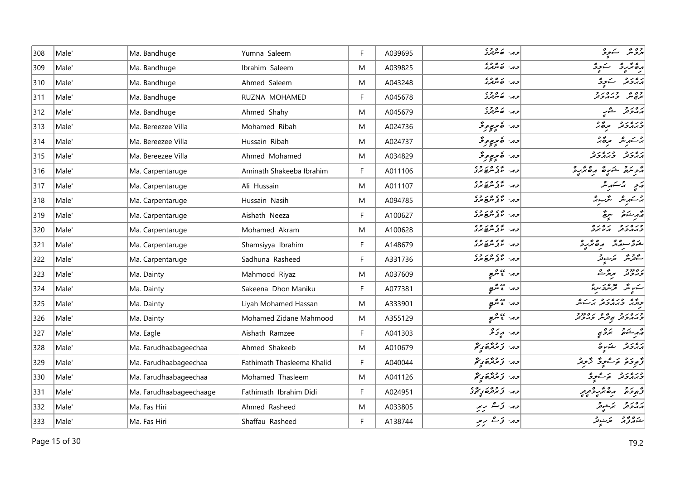| 308 | Male' | Ma. Bandhuge            | Yumna Saleem               | F | A039695 | و در ه که د د و<br>و د ۱۰ که متوانوری             | ووه شود                                                |
|-----|-------|-------------------------|----------------------------|---|---------|---------------------------------------------------|--------------------------------------------------------|
| 309 | Male' | Ma. Bandhuge            | Ibrahim Saleem             | M | A039825 | وړ· ځ سربر و                                      | ە ھەترىر <sup>ە</sup>                                  |
| 310 | Male' | Ma. Bandhuge            | Ahmed Saleem               | M | A043248 | ر ۵ و د ۲<br>وړ ۰ ځ سربرو                         | رەرو سەرو                                              |
| 311 | Male' | Ma. Bandhuge            | RUZNA MOHAMED              | E | A045678 | وړ . ځ نرور                                       | و ر ه ر د<br>تر پر ژ تر<br>ىرى بىر                     |
| 312 | Male' | Ma. Bandhuge            | Ahmed Shahy                | M | A045679 | و در ه که ده د                                    | أرەر د شەر                                             |
| 313 | Male' | Ma. Bereezee Villa      | Mohamed Ribah              | M | A024736 | ور. ځېږې <i>و</i> گر                              | وره رو در دي.<br><i>د بر ده بره ب</i> ر                |
| 314 | Male' | Ma. Bereezee Villa      | Hussain Ribah              | M | A024737 | در <i>غېرې و</i> مځ                               | بر شهر شهره بره بر                                     |
| 315 | Male' | Ma. Bereezee Villa      | Ahmed Mohamed              | M | A034829 | در <i>غېرې و</i> مځ                               | ג סגב בג סגב<br>הגבע בגהבע                             |
| 316 | Male' | Ma. Carpentaruge        | Aminath Shakeeba Ibrahim   | F | A011106 | ده ۱۵۲۰ ور<br>ده کرس                              | הכתים ביום הסתיכ                                       |
| 317 | Male' | Ma. Carpentaruge        | Ali Hussain                | M | A011107 | وړ٠ نور ده<br><i>د</i> ړ٠ نور سرچ <del>ب</del> رو | ەيپە برجستىرىش                                         |
| 318 | Male' | Ma. Carpentaruge        | Hussain Nasih              | M | A094785 | وړ٠ نور ده<br><i>د</i> ړ٠ نور سرچ <del>ب</del> رو | برسكر مثر الترسور                                      |
| 319 | Male' | Ma. Carpentaruge        | Aishath Neeza              | F | A100627 | و د .<br>د د . س بر سرچ س                         | ړ کړې شو تو<br>سرچٌ                                    |
| 320 | Male' | Ma. Carpentaruge        | Mohamed Akram              | M | A100628 | وړ . شي ه د د د .<br>د د . شي سرچ مرد             | כנסנכ נסנס<br>כגהכת העיב                               |
| 321 | Male' | Ma. Carpentaruge        | Shamsiyya Ibrahim          | F | A148679 | وړ٠ تر وه د و و<br>وړ٠ تر و شريع مرد              | شوش المره المتحدرة                                     |
| 322 | Male' | Ma. Carpentaruge        | Sadhuna Rasheed            | F | A331736 | وړ . شي ه د د د ،<br>د د . شي سره مرد             | سەدىرىش كېرىشونى                                       |
| 323 | Male' | Ma. Dainty              | Mahmood Riyaz              | M | A037609 | ور. ۽ سگيج                                        | ره دو در پیداد به در بازید.<br>تربر تربیر بر برگر شو   |
| 324 | Male' | Ma. Dainty              | Sakeena Dhon Maniku        | F | A077381 | ورب عجمهج                                         | سەرىگە ئېرىكرىدىر                                      |
| 325 | Male' | Ma. Dainty              | Liyah Mohamed Hassan       | M | A333901 | ورب عجمهج                                         | والمحمد وره د در ده                                    |
| 326 | Male' | Ma. Dainty              | Mohamed Zidane Mahmood     | M | A355129 | در به عميو                                        | وره رو به نژه ره دوو<br><i>وبرو</i> ونر به نژهر وبرونر |
| 327 | Male' | Ma. Eagle               | Aishath Ramzee             | F | A041303 | دړ٠ د پرو                                         | وكرم يشكره وتركحني                                     |
| 328 | Male' | Ma. Farudhaabageechaa   | Ahmed Shakeeb              | M | A010679 | ورسو مرود کا مج                                   |                                                        |
| 329 | Male' | Ma. Farudhaabageechaa   | Fathimath Thasleema Khalid | F | A040044 | ورسو موثره بالمج                                  | وتجوجهم وكالمحفظ تزموند                                |
| 330 | Male' | Ma. Farudhaabageechaa   | Mohamed Thasleem           | M | A041126 |                                                   | ورەرو رەيود                                            |
| 331 | Male' | Ma. Farudhaabageechaage | Fathimath Ibrahim Didi     | F | A024951 | در کردگر <i>ه پ</i> خو                            | ژوده ره ژروبر                                          |
| 332 | Male' | Ma. Fas Hiri            | Ahmed Rasheed              | M | A033805 | <br>  <i>وه</i> ۰ وګ رېږ                          | رەر دېرىدۇ.<br>مەركىر كرىشونر                          |
| 333 | Male' | Ma. Fas Hiri            | Shaffau Rasheed            | F | A138744 | <br> دەرىبى كەسىر                                 | ے وہ وہ مرکب دی۔<br>مشہ <i>ر وہ مرکب م</i> رکب         |
|     |       |                         |                            |   |         |                                                   |                                                        |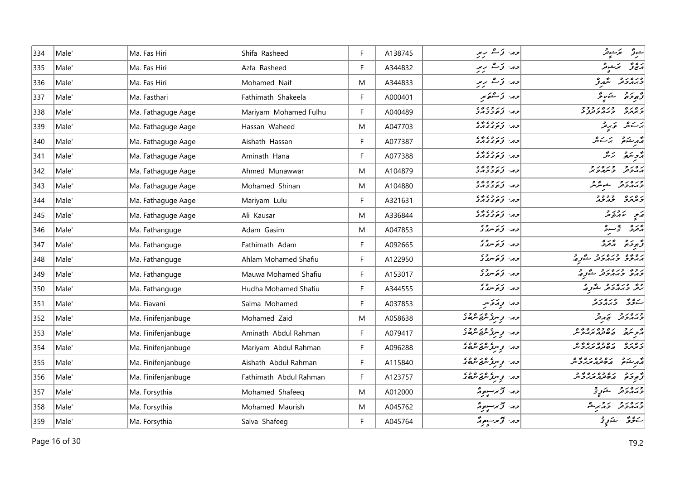| 334 | Male' | Ma. Fas Hiri       | Shifa Rasheed          | F  | A138745 | <br> دەر، ئۇس <sup>م</sup> رىر      | ڪوڻ گرڪونر<br>گر                                                        |
|-----|-------|--------------------|------------------------|----|---------|-------------------------------------|-------------------------------------------------------------------------|
| 335 | Male' | Ma. Fas Hiri       | Azfa Rasheed           | F  | A344832 | دەر، ئۇڭ رىپ                        | أرەم ئەسىر                                                              |
| 336 | Male' | Ma. Fas Hiri       | Mohamed Naif           | M  | A344833 | دەر، ئۇڭ رىپ                        | ستمدي<br>و رە ر د<br><i>د بە</i> پەر                                    |
| 337 | Male' | Ma. Fasthari       | Fathimath Shakeela     | F  | A000401 | ودستي كمستحوم                       | وَّجوحهو<br>شەر ئە                                                      |
| 338 | Male' | Ma. Fathaguge Aage | Mariyam Mohamed Fulhu  | F  | A040489 | د د ۱۶ وه و و د<br>د د از و د د د د | و ر ه ر و و و<br>د بر پر و تونو نو<br>ر ه ر ه<br><del>د</del> بربرگر    |
| 339 | Male' | Ma. Fathaguge Aage | Hassan Waheed          | M  | A047703 | ر ر د د ه و و<br>وړ ۰ و و ی ی ه ی   | يزكتاند الأبرقر                                                         |
| 340 | Male' | Ma. Fathaguge Aage | Aishath Hassan         | F  | A077387 | ر ر د د ه و و<br>وړ ۰ و و د د د د   | ۇرىشقى ئەسكىر                                                           |
| 341 | Male' | Ma. Fathaguge Aage | Aminath Hana           | F. | A077388 | c # c > > ^<br>s A s s & j · A x    | أرتحه سترسر كالملتجم المستكر                                            |
| 342 | Male' | Ma. Fathaguge Aage | Ahmed Munawwar         | M  | A104879 | c s c s v v<br>5 A 5 5 9 3 - A 3    | גפגב בגםגב<br>גגבע בייט <i>ג</i> פינ                                    |
| 343 | Male' | Ma. Fathaguge Aage | Mohamed Shinan         | M  | A104880 | ر ر د د ه ه ه<br>د ۱۸ و او د د د    | ورەرو ھەرد<br><i>وبەم</i> ۈش ھەش                                        |
| 344 | Male' | Ma. Fathaguge Aage | Mariyam Lulu           | F. | A321631 | c s c s v v<br>5 A 5 5 9 3 - A 3    | נים ני דרכב<br>בינו <i>רב ברב</i> ה                                     |
| 345 | Male' | Ma. Fathaguge Aage | Ali Kausar             | M  | A336844 | ر ر د د ه ه و<br>د ۱۸ زمون د ار     |                                                                         |
| 346 | Male' | Ma. Fathanguge     | Adam Gasim             | M  | A047853 | כו. צ'קיינג'                        | پر ہو گھر دی۔<br>مرکزی گھر کی                                           |
| 347 | Male' | Ma. Fathanguge     | Fathimath Adam         | F  | A092665 | כו. צ'קייט ב                        | و در دره                                                                |
| 348 | Male' | Ma. Fathanguge     | Ahlam Mohamed Shafiu   | F  | A122950 | כו צ'קייט ג                         | رەپە درەرد شرور                                                         |
| 349 | Male' | Ma. Fathanguge     | Mauwa Mohamed Shafiu   | F  | A153017 | وړ٠ زم سره<br>در٠ زم                | כגם כנהגב בינה                                                          |
| 350 | Male' | Ma. Fathanguge     | Hudha Mohamed Shafiu   | F  | A344555 | وړ کې ده.<br>در کې                  | وه ورورو ځوړه                                                           |
| 351 | Male' | Ma. Fiavani        | Salma Mohamed          | F  | A037853 | در ری <i>مو</i> س                   | رەپ درەرد<br>سەنزىقە دىمەردىن                                           |
| 352 | Male' | Ma. Finifenjanbuge | Mohamed Zaid           | M  | A058638 | ور وسروسي مده ده                    | כנפנ ב בני                                                              |
| 353 | Male' | Ma. Finifenjanbuge | Aminath Abdul Rahman   | F  | A079417 | حەد توسر ئەھمەدە دە                 | د د د ده ده ده ده و                                                     |
| 354 | Male' | Ma. Finifenjanbuge | Mariyam Abdul Rahman   | F  | A096288 | دړ٠ و سروسي شره د ،                 | ג סג ס ג ס כ ס ג ס ג ס<br>כ יגו <i>ר כ ה ס ינ</i> ו <i>ג יג י</i> כ יינ |
| 355 | Male' | Ma. Finifenjanbuge | Aishath Abdul Rahman   | F  | A115840 | وړ٠ و سرگرمرځ شر <i>ه</i> د         | ه در ده ده ده ده ده<br>په دشوی پره تر د بر د سر                         |
| 356 | Male' | Ma. Finifenjanbuge | Fathimath Abdul Rahman | F  | A123757 | وړ٠ وسومنده مده ده                  | و د د ده ده ده و د                                                      |
| 357 | Male' | Ma. Forsythia      | Mohamed Shafeeq        | M  | A012000 | حەر، ئۇس <sub>ىر سو</sub> مۇرىگە    | وبرەر ئى ئىي ئى                                                         |
| 358 | Male' | Ma. Forsythia      | Mohamed Maurish        | M  | A045762 | حەر، ئۇ بىر سوەتە<br>ئە             | ورەرو روپرىش                                                            |
| 359 | Male' | Ma. Forsythia      | Salva Shafeeg          | F  | A045764 | حەر، ئۇ بىرسىدە ب <sup>ەل</sup>     | ستورة التقوية                                                           |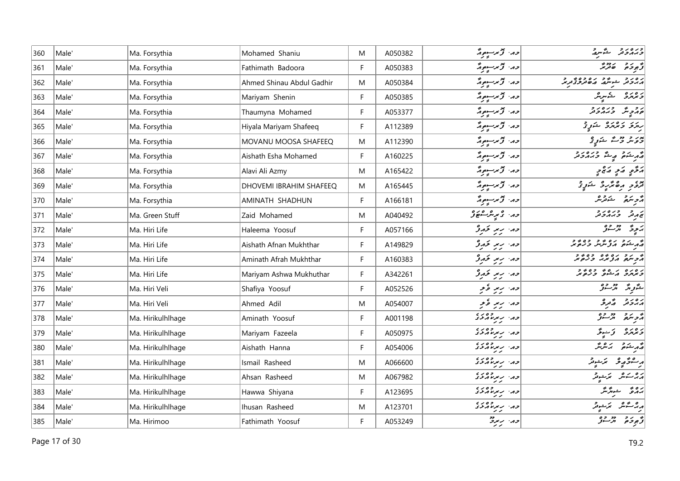| 360 | Male' | Ma. Forsythia     | Mohamed Shaniu            | M           | A050382 | حەر، ئۇ بىرسىدە ئەڭ<br>ئەر                                                                                                   | وره دو شهر                                                                                                                                                                                                                         |
|-----|-------|-------------------|---------------------------|-------------|---------|------------------------------------------------------------------------------------------------------------------------------|------------------------------------------------------------------------------------------------------------------------------------------------------------------------------------------------------------------------------------|
| 361 | Male' | Ma. Forsythia     | Fathimath Badoora         | F           | A050383 | $\left  \begin{array}{cc} \mathbf{y} & \mathbf{y} \\ \mathbf{y} & \mathbf{y} \\ \mathbf{y} & \mathbf{y} \end{array} \right $ | أو رو روده                                                                                                                                                                                                                         |
| 362 | Male' | Ma. Forsythia     | Ahmed Shinau Abdul Gadhir | M           | A050384 | در به توسر مور                                                                                                               |                                                                                                                                                                                                                                    |
| 363 | Male' | Ma. Forsythia     | Mariyam Shenin            | $\mathsf F$ | A050385 | در به سوم                                                                                                                    | دەرە شەربىر                                                                                                                                                                                                                        |
| 364 | Male' | Ma. Forsythia     | Thaumyna Mohamed          | $\mathsf F$ | A053377 | أحدث ومنتهج من المعجز                                                                                                        | גר ה רגסנד                                                                                                                                                                                                                         |
| 365 | Male' | Ma. Forsythia     | Hiyala Mariyam Shafeeq    | $\mathsf F$ | A112389 | حەر، ئۇ بىرسىدە ئە                                                                                                           | ريزى كالمريرق كورة                                                                                                                                                                                                                 |
| 366 | Male' | Ma. Forsythia     | MOVANU MOOSA SHAFEEQ      | M           | A112390 | حەر، قەمەسىدە ئە                                                                                                             | بدر د در مشهور در در محمد در در این استان به در این در این دارد باشد.<br>در این محمد استان میکند و باشد و باشد و باشد و باشد و باشد و باشد و باشد که باشد و باشد باشد باشد باشد باشد<br>در این محمد باشد باشد و باشد و باشد و باشد |
| 367 | Male' | Ma. Forsythia     | Aishath Esha Mohamed      | F           | A160225 | در به توسر مرد                                                                                                               | م المستحق المستعمر و المستحدث المستحدة                                                                                                                                                                                             |
| 368 | Male' | Ma. Forsythia     | Alavi Ali Azmy            | M           | A165422 | در به توسر مرد                                                                                                               | أرَدَّهٍ أَرَدٍ أَرَجَ                                                                                                                                                                                                             |
| 369 | Male' | Ma. Forsythia     | DHOVEMI IBRAHIM SHAFEEQ   | M           | A165445 | در به سره برگ                                                                                                                | بره ده پره ځېږ <sup>و</sup> شرې                                                                                                                                                                                                    |
| 370 | Male' | Ma. Forsythia     | AMINATH SHADHUN           | F.          | A166181 | در به توسعه وگ                                                                                                               | ە ئەسكە ئەسكەن ئىش                                                                                                                                                                                                                 |
| 371 | Male' | Ma. Green Stuff   | Zaid Mohamed              | M           | A040492 | در ، گوپر شرح و                                                                                                              | א בי כלסיב                                                                                                                                                                                                                         |
| 372 | Male' | Ma. Hiri Life     | Haleema Yoosuf            | F           | A057166 | وړ. ربر توړو<br>                                                                                                             | برَ پڑھ اور دو                                                                                                                                                                                                                     |
| 373 | Male' | Ma. Hiri Life     | Aishath Afnan Mukhthar    | F           | A149829 | دەر، رىيە ئۇرۇ                                                                                                               | د مرکز ده دو ده دو.<br>در شوی مرز شرکت و زموند                                                                                                                                                                                     |
| 374 | Male' | Ma. Hiri Life     | Aminath Afrah Mukhthar    | F           | A160383 | در، ربر <sub>ت</sub> ورو                                                                                                     | و شرح بره ده وه دو د                                                                                                                                                                                                               |
| 375 | Male' | Ma. Hiri Life     | Mariyam Ashwa Mukhuthar   | F           | A342261 | دړ، رېر ځهرنۍ                                                                                                                | ر ٥ ر ٥ ر ٥ و ٥ و ٥ و<br>تربربرتر كرشور ترزير                                                                                                                                                                                      |
| 376 | Male' | Ma. Hiri Veli     | Shafiya Yoosuf            | F           | A052526 | دەڪرىر ئىج                                                                                                                   | شورش جزيرو                                                                                                                                                                                                                         |
| 377 | Male' | Ma. Hiri Veli     | Ahmed Adil                | M           | A054007 | ورس ربر څو                                                                                                                   | برەر د ئەربى                                                                                                                                                                                                                       |
| 378 | Male' | Ma. Hirikulhlhage | Aminath Yoosuf            | F           | A001198 | $rac{1}{2}$                                                                                                                  | أأزجه متزه ودوح                                                                                                                                                                                                                    |
| 379 | Male' | Ma. Hirikulhlhage | Mariyam Fazeela           | F           | A050975 | כגי געממש ב                                                                                                                  | ترەرە تىنىد                                                                                                                                                                                                                        |
| 380 | Male' | Ma. Hirikulhlhage | Aishath Hanna             | $\mathsf F$ | A054006 | יכגי גיצע בסגם<br><u>יכגי גיצ</u> ע בסגם                                                                                     | ە ئەسكە ئەسرىس                                                                                                                                                                                                                     |
| 381 | Male' | Ma. Hirikulhlhage | Ismail Rasheed            | M           | A066600 |                                                                                                                              | رەڭ ئۇر ئىزىدىگ                                                                                                                                                                                                                    |
| 382 | Male' | Ma. Hirikulhlhage | Ahsan Rasheed             | ${\sf M}$   | A067982 | $rac{1}{2}$                                                                                                                  | رەك كەنبەر<br>مەركىسى كەنبەر                                                                                                                                                                                                       |
| 383 | Male' | Ma. Hirikulhlhage | Hawwa Shiyana             | $\mathsf F$ | A123695 |                                                                                                                              | بره په مورش<br>برټرو شورشگر                                                                                                                                                                                                        |
| 384 | Male' | Ma. Hirikulhlhage | Ihusan Rasheed            | M           | A123701 | כו מיטוריטי                                                                                                                  | ر مارچ کو مر <sub>شو</sub> تر<br>مارچ کشمیر                                                                                                                                                                                        |
| 385 | Male' | Ma. Hirimoo       | Fathimath Yoosuf          | E           | A053249 |                                                                                                                              | ژ <sub>جو خ</sub> ه در دو                                                                                                                                                                                                          |
|     |       |                   |                           |             |         |                                                                                                                              |                                                                                                                                                                                                                                    |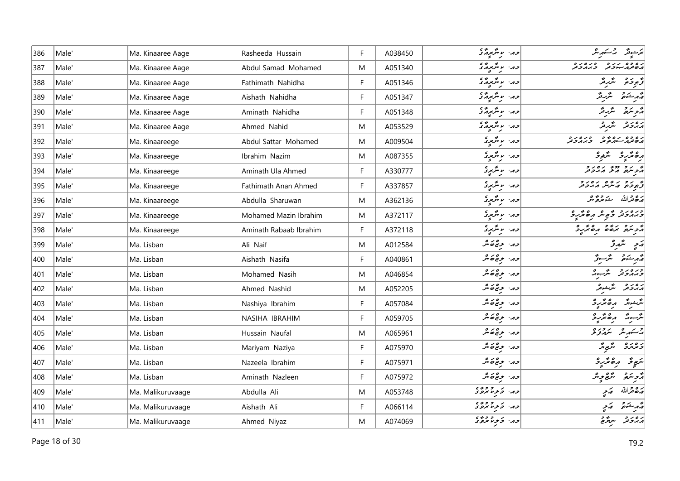| 386 | Male' | Ma. Kinaaree Aage | Rasheeda Hussain       | F           | A038450 | دە. بەشجەتمى                            | يَرْسُوشْ بِرْكْسَرْسْر                                                                                       |
|-----|-------|-------------------|------------------------|-------------|---------|-----------------------------------------|---------------------------------------------------------------------------------------------------------------|
| 387 | Male' | Ma. Kinaaree Aage | Abdul Samad Mohamed    | M           | A051340 | دە. بەشجەتمى                            | ره وه رر و دره دو<br>په هر پرسوتر و ژمرونر                                                                    |
| 388 | Male' | Ma. Kinaaree Aage | Fathimath Nahidha      | $\mathsf F$ | A051346 | دړ٠ بر شرېر دي                          | قَەبْرَىقْمْ مْتَدَبِيْرْ                                                                                     |
| 389 | Male' | Ma. Kinaaree Aage | Aishath Nahidha        | F           | A051347 | دە. بەشجەتمى                            | پ <sup>و</sup> پر ڪوي<br>پر پر<br>سٌررتٌر                                                                     |
| 390 | Male' | Ma. Kinaaree Aage | Aminath Nahidha        | F           | A051348 | دە. بەشجەتمى                            | أروبتهم<br>سَّرَر تَرَّ                                                                                       |
| 391 | Male' | Ma. Kinaaree Aage | Ahmed Nahid            | M           | A053529 |                                         | ر ەر د<br>م.رى<br>سرٌر ورٌ                                                                                    |
| 392 | Male' | Ma. Kinaareege    | Abdul Sattar Mohamed   | M           | A009504 | در ، پاسگېږي                            | נסכם נסמכ כנסנכ<br>גשנג יינגים בגגבת                                                                          |
| 393 | Male' | Ma. Kinaareege    | Ibrahim Nazim          | M           | A087355 | در ، پاسکېږئ                            | رە ئەير ئىستىر ئى                                                                                             |
| 394 | Male' | Ma. Kinaareege    | Aminath Ula Ahmed      | F           | A330777 | دە. ب <sub>ا</sub> ئىگىرى               | ד גב מי גם גב<br>גביעי גב גבבת                                                                                |
| 395 | Male' | Ma. Kinaareege    | Fathimath Anan Ahmed   | F           | A337857 | دە. ب <sub>ا</sub> ئىگىرى               | و بالمحمد و بالمحمد المحمد و المحمد المحمد و المحمد و المحمد المحمد المحمد المحمد المحمد المحمد المحمد المحمد |
| 396 | Male' | Ma. Kinaareege    | Abdulla Sharuwan       | M           | A362136 | دە. ب <sub>و</sub> س <sub>كىپى</sub> تى | رە داللە ھەمرۇش                                                                                               |
| 397 | Male' | Ma. Kinaareege    | Mohamed Mazin Ibrahim  | M           | A372117 | در ، پاسکېږئ                            | כנסגב בא מי תפיצת                                                                                             |
| 398 | Male' | Ma. Kinaareege    | Aminath Rabaab Ibrahim | F           | A372118 | دە. ب <sub>ا</sub> ئى <sub>رى</sub> مى  |                                                                                                               |
| 399 | Male' | Ma. Lisban        | Ali Naif               | M           | A012584 | $5.685 - 12$                            | ە ئەستەر                                                                                                      |
| 400 | Male' | Ma. Lisban        | Aishath Nasifa         | F           | A040861 | در برگاه ش                              | ان<br>انگهر شه می<br>ىگرىسىدۇ                                                                                 |
| 401 | Male' | Ma. Lisban        | Mohamed Nasih          | M           | A046854 | در وءهار                                | و رە ر د<br><i>د بە</i> پەر<br>ىئرىبەر                                                                        |
| 402 | Male' | Ma. Lisban        | Ahmed Nashid           | M           | A052205 | در. بوځ ځېگ                             | رەر <i>ەشىغ</i> ەتر<br>مەروىر س <sup>ى</sup> رىشەتر                                                           |
| 403 | Male' | Ma. Lisban        | Nashiya Ibrahim        | F           | A057084 | در به عندگ                              | ەر ھەتتەر 2<br>ب<br>مگرىشوەگر<br>م                                                                            |
| 404 | Male' | Ma. Lisban        | NASIHA IBRAHIM         | F           | A059705 | ادر ویخفش                               | دە ئەر<br>مترسور                                                                                              |
| 405 | Male' | Ma. Lisban        | Hussain Naufal         | M           | A065961 | در به عند                               | سردره<br>ج <sub>ە</sub> سىئەر بىر                                                                             |
| 406 | Male' | Ma. Lisban        | Mariyam Naziya         | F           | A075970 | ادر ویخفش                               | ر ه ر ه<br><del>و</del> بربرو<br>مثنبي ثر                                                                     |
| 407 | Male' | Ma. Lisban        | Nazeela Ibrahim        | F           | A075971 | $5.683 - 15$                            | سَيِوَّ رەھزىر                                                                                                |
| 408 | Male' | Ma. Lisban        | Aminath Nazleen        | F           | A075972 | در به عند                               | ترچ <sub>مح</sub> بر<br>أثرمز معر                                                                             |
| 409 | Male' | Ma. Malikuruvaage | Abdulla Ali            | M           | A053748 | כו <i>יי ביכ</i> יו י <i>י</i> פל       | <mark>صر ھوڻر</mark> الله<br>ەتىر                                                                             |
| 410 | Male' | Ma. Malikuruvaage | Aishath Ali            | F           | A066114 | בו ב <del>כני בכל</del>                 | و مرشومه<br>مرسسوم<br>رځمني                                                                                   |
| 411 | Male' | Ma. Malikuruvaage | Ahmed Niyaz            | M           | A074069 | בגי ציבט ובשים<br>כגי ציבט ובשים        | גם ג' בי ייטרים                                                                                               |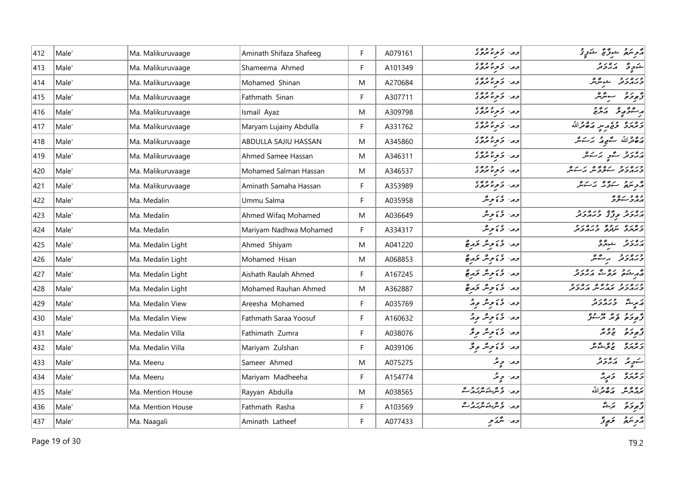| 412 | Male' | Ma. Malikuruvaage | Aminath Shifaza Shafeeg | F         | A079161 | כחי כצע <i>וכש</i>        | أأدوسكم والشرقر المحاوية                                                                            |
|-----|-------|-------------------|-------------------------|-----------|---------|---------------------------|-----------------------------------------------------------------------------------------------------|
| 413 | Male' | Ma. Malikuruvaage | Shameema Ahmed          | F         | A101349 | وړ٠ وکورا بروی            | شَرِج גَ مَدَ حَد                                                                                   |
| 414 | Male' | Ma. Malikuruvaage | Mohamed Shinan          | M         | A270684 | בו בצעיבים                | ورەرو ھەرگە                                                                                         |
| 415 | Male' | Ma. Malikuruvaage | Fathmath Sinan          | F         | A307711 | وړ٠ د کوله برون           | قرموقته وستريثر                                                                                     |
| 416 | Male' | Ma. Malikuruvaage | Ismail Ayaz             | M         | A309798 | בו בצידוני                | ת ביצוב גור                                                                                         |
| 417 | Male' | Ma. Malikuruvaage | Maryam Lujainy Abdulla  | F         | A331762 | בו בבעידים                | ويرمرد ويرس وكامرالله                                                                               |
| 418 | Male' | Ma. Malikuruvaage | ABDULLA SAJIU HASSAN    | M         | A345860 | בודי בצעית                | رەۋاللە گوپر ئەك ھ                                                                                  |
| 419 | Male' | Ma. Malikuruvaage | Ahmed Samee Hassan      | M         | A346311 | כו <i>יי ביכ</i> יו יקפי  | أرورو كمني بركتين                                                                                   |
| 420 | Male' | Ma. Malikuruvaage | Mohamed Salman Hassan   | M         | A346537 | وړ٠ وکورا بروی            | ورەرو رەۋە رىرە                                                                                     |
| 421 | Male' | Ma. Malikuruvaage | Aminath Samaha Hassan   | F         | A353989 | כו. <sup>ב</sup> יכן ינפי | ە بەدە سەۋە ئەسەس                                                                                   |
| 422 | Male' | Ma. Medalin       | Ummu Salma              | F         | A035958 | دە. ئۇنجەمىر              | وه و د و و<br>ممرو سنوو                                                                             |
| 423 | Male' | Ma. Medalin       | Ahmed Wifaq Mohamed     | M         | A036649 | در کی دیگر                | גם גב <sub>ק</sub> ציב כגם גב<br>גגבת קצ <sup>י</sup> ב כגגפת                                       |
| 424 | Male' | Ma. Medalin       | Mariyam Nadhwa Mohamed  | F         | A334317 | دە ئۇنجىر                 | נסנס נכש כנסנכ<br>כמחב ייטופ כמחכנ                                                                  |
| 425 | Male' | Ma. Medalin Light | Ahmed Shiyam            | M         | A041220 | درك ويموس ورقح            | أربروتر شوروه                                                                                       |
| 426 | Male' | Ma. Medalin Light | Mohamed Hisan           | M         | A068853 | درك كالموشر كرريح         | ورەرو بەشەر                                                                                         |
| 427 | Male' | Ma. Medalin Light | Aishath Raulah Ahmed    | F         | A167245 | در کی دِسْ دَرِهِ         | و مشروح ده به ۱۵۷۶<br>وگړېدنو مروسه کړېدونر                                                         |
| 428 | Male' | Ma. Medalin Light | Mohamed Rauhan Ahmed    | M         | A362887 | در، دنم دیگر در ه         | כנסג כ-גבלים גםגב<br>בגמבת יממגית מגבת                                                              |
| 429 | Male' | Ma. Medalin View  | Areesha Mohamed         | F         | A035769 | حەر، ئۇلاپ ئورگە بورگە    | أمرسية ورورو                                                                                        |
| 430 | Male' | Ma. Medalin View  | Fathmath Saraa Yoosuf   | F         | A160632 | حدث وتمويثر وته           | ژُودَهُ پُرَ "رو                                                                                    |
| 431 | Male' | Ma. Medalin Villa | Fathimath Zumra         | F         | A038076 | دە ئۇنۇش دۇ               | أَوَّجْوَحْهُمْ مَحْرَمُهُ                                                                          |
| 432 | Male' | Ma. Medalin Villa | Mariyam Zulshan         | F         | A039106 | درك كالموش وقر            | رەرە دەپتىر                                                                                         |
| 433 | Male' | Ma. Meeru         | Sameer Ahmed            | ${\sf M}$ | A075275 | وړ وېژ                    | سَوِيرٌ   دَيرونر                                                                                   |
| 434 | Male' | Ma. Meeru         | Mariyam Madheeha        | F         | A154774 | اور ويژ                   | دەرە كېرىگە                                                                                         |
| 435 | Male' | Ma. Mention House | Rayyan Abdulla          | ${\sf M}$ | A038565 | ور. ۇش شەرىر ئە           | مَە قىراللە<br>ر ه و ه<br>مرد بر بر                                                                 |
| 436 | Male' | Ma. Mention House | Fathmath Rasha          | F         | A103569 | ور. وتربشهریرو ه          | قُ وَ حَمْدٍ مَنْ اللَّهُ مِنْ اللَّهُ مِنْ اللَّهُ مِنْ اللَّهُ مِنْ اللَّهُ مِنْ اللَّهُ مِنْ الل |
| 437 | Male' | Ma. Naagali       | Aminath Latheef         | F         | A077433 | دە. ئىگەم                 | أزويتم تكمج ومحمج                                                                                   |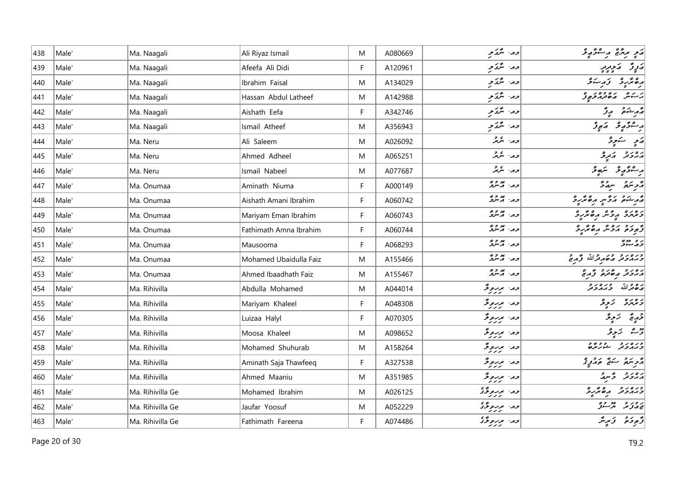| 438 | Male' | Ma. Naagali      | Ali Riyaz Ismail       | M  | A080669 | دە. ئىگەم                |                                                 |
|-----|-------|------------------|------------------------|----|---------|--------------------------|-------------------------------------------------|
| 439 | Male' | Ma. Naagali      | Afeefa Ali Didi        | F. | A120961 | حەر، سرىمىگىرىن          | ړ د په د د د                                    |
| 440 | Male' | Ma. Naagali      | Ibrahim Faisal         | M  | A134029 | در. سگذیر                |                                                 |
| 441 | Male' | Ma. Naagali      | Hassan Abdul Latheef   | M  | A142988 | در. سمَّدَمِ             | ر ره ده ده ده د و                               |
| 442 | Male' | Ma. Naagali      | Aishath Eefa           | F  | A342746 | <br>  <i>وه</i> سمّدَمو  | و د شو د و د                                    |
| 443 | Male' | Ma. Naagali      | Ismail Atheef          | M  | A356943 | حەر، ئىتىمىز             | ر عرٌ په دُوِرٌ                                 |
| 444 | Male' | Ma. Neru         | Ali Saleem             | M  | A026092 | وړ شریز                  | ړې خود                                          |
| 445 | Male' | Ma. Neru         | Ahmed Adheel           | M  | A065251 | وړ شریز                  | , פיב ה <sub>בק</sub> ב                         |
| 446 | Male' | Ma. Neru         | Ismail Nabeel          | M  | A077687 | وړ شریز                  |                                                 |
| 447 | Male' | Ma. Onumaa       | Aminath Niuma          | F. | A000149 | بر در برد.<br>ور آرسرد   | ה ביתה יינה                                     |
| 448 | Male' | Ma. Onumaa       | Aishath Amani Ibrahim  | F. | A060742 | وړ٠ پر دی                | ה<br>האישים גלית תפילת                          |
| 449 | Male' | Ma. Onumaa       | Mariyam Eman Ibrahim   | F  | A060743 | ور به ده                 | במתב תבית תסתיב                                 |
| 450 | Male' | Ma. Onumaa       | Fathimath Amna Ibrahim | F  | A060744 | בוגי ו <i>ד</i> ייקב     |                                                 |
| 451 | Male' | Ma. Onumaa       | Mausooma               | F  | A068293 | پر به برد و<br>ور به مرد | ر و دوء<br>وەسىرى                               |
| 452 | Male' | Ma. Onumaa       | Mohamed Ubaidulla Faiz | M  | A155466 | وړ٠ پر دی                | ورەرو وەرقىراللە ۋەبى                           |
| 453 | Male' | Ma. Onumaa       | Ahmed Ibaadhath Faiz   | M  | A155467 | בני המתב                 | גפגב גלגב צ'קי                                  |
| 454 | Male' | Ma. Rihivilla    | Abdulla Mohamed        | M  | A044014 | در برروژ                 | و ر ه ر و<br>تر پروتر<br>ەھىراللە               |
| 455 | Male' | Ma. Rihivilla    | Mariyam Khaleel        | F. | A048308 | وە بىرىدۇ ئى             | دەرو ئېچى                                       |
| 456 | Male' | Ma. Rihivilla    | Luizaa Halyl           | F. | A070305 | ارە بىرىدە ئى            | ځږيځ<br>تزمونو                                  |
| 457 | Male' | Ma. Rihivilla    | Moosa Khaleel          | M  | A098652 | ا دەسىرىدە ئى            | وحث زوو                                         |
| 458 | Male' | Ma. Rihivilla    | Mohamed Shuhurab       | M  | A158264 | در برروژگ                | وره رو وودو<br><i>وب</i> رمرونر شو <i>ر</i> بره |
| 459 | Male' | Ma. Rihivilla    | Aminath Saja Thawfeeq  | F  | A327538 | وە بەرەپچ                | مُرْحِسَمُ مَسْتَمْ مَ مِرْرٍ وَ                |
| 460 | Male' | Ma. Rihivilla    | Ahmed Maaniu           | M  | A351985 | اور برروځ<br>مسين        | גם גב ביינה                                     |
| 461 | Male' | Ma. Rihivilla Ge | Mohamed Ibrahim        | M  | A026125 | وړ بررونونی<br>مسیحیات   | כממכני תפתיכ                                    |
| 462 | Male' | Ma. Rihivilla Ge | Jaufar Yoosuf          | M  | A052229 | وړ بررونونی<br>در        | د ور و دو وه                                    |
| 463 | Male' | Ma. Rihivilla Ge | Fathimath Fareena      | F  | A074486 | وړ٠ مربرونونو<br>در      | ۇيدۇق قەيدىگە                                   |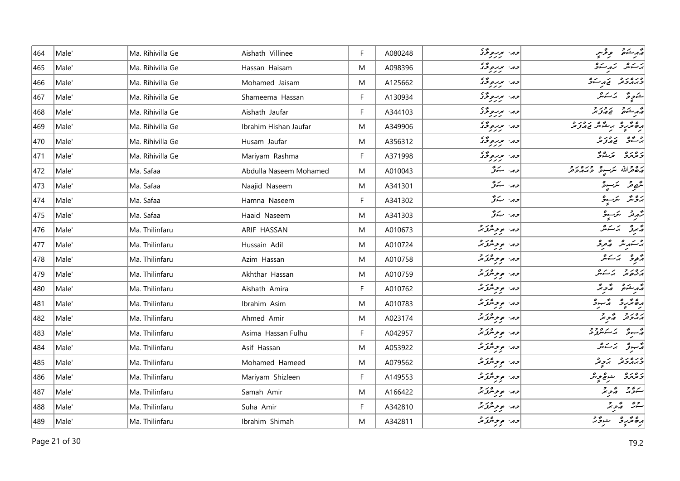| 464 | Male' | Ma. Rihivilla Ge | Aishath Villinee       | F           | A080248 | دړ٠ برروڅۀ<br>      | و مشهور و محسن<br>مسر                    |
|-----|-------|------------------|------------------------|-------------|---------|---------------------|------------------------------------------|
| 465 | Male' | Ma. Rihivilla Ge | Hassan Haisam          | M           | A098396 | وړ بررونونی<br>در   | ىرىكى ئەرىكى                             |
| 466 | Male' | Ma. Rihivilla Ge | Mohamed Jaisam         | M           | A125662 |                     |                                          |
| 467 | Male' | Ma. Rihivilla Ge | Shameema Hassan        | F.          | A130934 | در سربر و د د       | لمكولي كالكامل                           |
| 468 | Male' | Ma. Rihivilla Ge | Aishath Jaufar         | F           | A344103 | وړ٠ مربرونونو<br>در | د در در در د<br>د آمر شکوه د این در در د |
| 469 | Male' | Ma. Rihivilla Ge | Ibrahim Hishan Jaufar  | M           | A349906 | وړ٠ بررونونی<br>در  | مەھەر بەر بەر ئەمەر بەر                  |
| 470 | Male' | Ma. Rihivilla Ge | Husam Jaufar           | M           | A356312 | وړ٠ بررونونو<br>در  | د ده د در د<br>برگور د دومر              |
| 471 | Male' | Ma. Rihivilla Ge | Mariyam Rashma         | F           | A371998 | وړ بررونونی<br>در   | رەرە بەشۇ                                |
| 472 | Male' | Ma. Safaa        | Abdulla Naseem Mohamed | M           | A010043 | وە - سۇگ            | أرە دالله ترسود دېرماد                   |
| 473 | Male' | Ma. Safaa        | Naajid Naseem          | M           | A341301 | وە بىۇ              | ن <i>گھونڈ نگرجو</i> گر                  |
| 474 | Male' | Ma. Safaa        | Hamna Naseem           | F           | A341302 | ور. ښو              | رەپر بىر يوم                             |
| 475 | Male' | Ma. Safaa        | Haaid Naseem           | M           | A341303 | دە. سەڭ             | رحمز مترجو                               |
| 476 | Male' | Ma. Thilinfaru   | ARIF HASSAN            | M           | A010673 | در و دیگر تر        | ۇيرۇ ئەسكىر                              |
| 477 | Male' | Ma. Thilinfaru   | Hussain Adil           | M           | A010724 | در و دیگر           | جر ڪمر شي ڪمبر گھري جو ا                 |
| 478 | Male' | Ma. Thilinfaru   | Azim Hassan            | M           | A010758 | دړ٠ ووسرتمه         | ۇ ئەسكە                                  |
| 479 | Male' | Ma. Thilinfaru   | Akhthar Hassan         | M           | A010759 | در و دیگرنگه        | رەرچە ئەسەھ                              |
| 480 | Male' | Ma. Thilinfaru   | Aishath Amira          | F           | A010762 | در و دیگر ته        | وأرجنتم وأوبأ                            |
| 481 | Male' | Ma. Thilinfaru   | Ibrahim Asim           | M           | A010783 |                     |                                          |
| 482 | Male' | Ma. Thilinfaru   | Ahmed Amir             | M           | A023174 | وړ ووسونه           |                                          |
| 483 | Male' | Ma. Thilinfaru   | Asima Hassan Fulhu     | $\mathsf F$ | A042957 | در و دیگر تر        | ىر سەھرى <sub>قى</sub> ئ<br>رمج سبورش    |
| 484 | Male' | Ma. Thilinfaru   | Asif Hassan            | M           | A053922 | در و دیگر ته        | ۇسوۋە ئەسكىلە                            |
| 485 | Male' | Ma. Thilinfaru   | Mohamed Hameed         | M           | A079562 | در و دشتر د         | כנים בי הבית                             |
| 486 | Male' | Ma. Thilinfaru   | Mariyam Shizleen       | $\mathsf F$ | A149553 | در و دموکرم         | ترەرە ھەج پەش                            |
| 487 | Male' | Ma. Thilinfaru   | Samah Amir             | M           | A166422 |                     | سەۋېر<br>وحجمته تتمر                     |
| 488 | Male' | Ma. Thilinfaru   | Suha Amir              | F           | A342810 | در و دیگر ته        | المنتزع الأحرجر                          |
| 489 | Male' | Ma. Thilinfaru   | Ibrahim Shimah         | M           | A342811 |                     | رەنزىر شىڭ                               |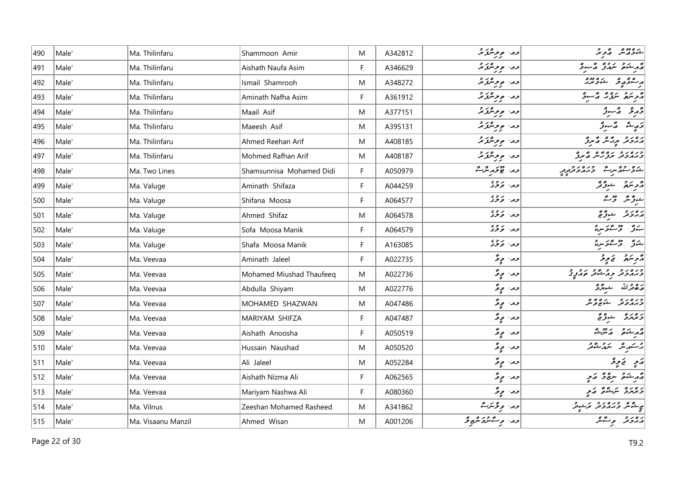| 490 | Male' | Ma. Thilinfaru     | Shammoon Amir            | M           | A342812 | در و د شوکه  | أشوحه شرح                                                                                                                                                                                                                                                           |
|-----|-------|--------------------|--------------------------|-------------|---------|--------------|---------------------------------------------------------------------------------------------------------------------------------------------------------------------------------------------------------------------------------------------------------------------|
| 491 | Male' | Ma. Thilinfaru     | Aishath Naufa Asim       | $\mathsf F$ | A346629 | در و دیگر تر | $\begin{array}{cc} 0 & \stackrel{\circ}{\sim} & \stackrel{\circ}{\sim} & \stackrel{\circ}{\sim} & \stackrel{\circ}{\sim} \\ \stackrel{\circ}{\sim} & \stackrel{\circ}{\sim} & \stackrel{\circ}{\sim} & \stackrel{\circ}{\sim} & \stackrel{\circ}{\sim} \end{array}$ |
| 492 | Male' | Ma. Thilinfaru     | Ismail Shamrooh          | M           | A348272 | ادر وویژگر   | م سوځ په شوه پره دوه                                                                                                                                                                                                                                                |
| 493 | Male' | Ma. Thilinfaru     | Aminath Nafha Asim       | F.          | A361912 | در و دشونه   | أأدمره مروره ومسرد                                                                                                                                                                                                                                                  |
| 494 | Male' | Ma. Thilinfaru     | Maail Asif               | M           | A377151 |              | ۇرۇ شېز                                                                                                                                                                                                                                                             |
| 495 | Male' | Ma. Thilinfaru     | Maeesh Asif              | M           | A395131 | در و دیگرنگ  | كمهيش كماجوقر                                                                                                                                                                                                                                                       |
| 496 | Male' | Ma. Thilinfaru     | Ahmed Reehan Arif        | M           | A408185 | در و دیگر    | رور و بریگر کمبرو                                                                                                                                                                                                                                                   |
| 497 | Male' | Ma. Thilinfaru     | Mohmed Rafhan Arif       | M           | A408187 | در. ووشدته   | ورەر د رود مەكتىرۇ                                                                                                                                                                                                                                                  |
| 498 | Male' | Ma. Two Lines      | Shamsunnisa Mohamed Didi | $\mathsf F$ | A050979 | دە. ھۆر شر   | شره وه سر وره دورو.<br>شرکت در سر و بربر و ترتوبر                                                                                                                                                                                                                   |
| 499 | Male' | Ma. Valuge         | Aminath Shifaza          | $\mathsf F$ | A044259 | وړ کون       | أأدوبتهم خورقر                                                                                                                                                                                                                                                      |
| 500 | Male' | Ma. Valuge         | Shifana Moosa            | F           | A064577 | وړ کون       | $\begin{array}{c cc} \cdot & \cdot & \cdot \\ \hline \uparrow & \uparrow & \uparrow \\ \hline \downarrow & \downarrow & \downarrow \\ \end{array}$                                                                                                                  |
| 501 | Male' | Ma. Valuge         | Ahmed Shifaz             | M           | A064578 | وړ کون       | رەر ئىستىرى<br>مەركىر ئىس                                                                                                                                                                                                                                           |
| 502 | Male' | Ma. Valuge         | Sofa Moosa Manik         | F           | A064579 | وړ کون       | بذرة وحسنة كالمرد                                                                                                                                                                                                                                                   |
| 503 | Male' | Ma. Valuge         | Shafa Moosa Manik        | F           | A163085 | وړ کون       | شۇ ھەم بىر                                                                                                                                                                                                                                                          |
| 504 | Male' | Ma. Veevaa         | Aminath Jaleel           | F           | A022735 | وړ٠ وٍوً     | أأدوسكم فأويده                                                                                                                                                                                                                                                      |
| 505 | Male' | Ma. Veevaa         | Mohamed Miushad Thaufeeq | M           | A022736 | وړ٠ وِوً     | ورەر د د د د د د د د                                                                                                                                                                                                                                                |
| 506 | Male' | Ma. Veevaa         | Abdulla Shiyam           | M           | A022776 | وړ٠ وِوَّ    | رەت <sub>داللە ھەترى</sub>                                                                                                                                                                                                                                          |
| 507 | Male' | Ma. Veevaa         | MOHAMED SHAZWAN          | M           | A047486 | وړ٠ وٍوً     | ورەرو دەپرە                                                                                                                                                                                                                                                         |
| 508 | Male' | Ma. Veevaa         | MARIYAM SHIFZA           | F           | A047487 | وړ٠ وِوَّ    | و پر پرو شورځ                                                                                                                                                                                                                                                       |
| 509 | Male' | Ma. Veevaa         | Aishath Anoosha          | F           | A050519 | وړ٠ وٍوً     | م المستوجد المرحمة المستوجد                                                                                                                                                                                                                                         |
| 510 | Male' | Ma. Veevaa         | Hussain Naushad          | M           | A050520 | وړ٠ وِوً     | جرسكور مكر مكرم مشكر                                                                                                                                                                                                                                                |
| 511 | Male' | Ma. Veevaa         | Ali Jaleel               | M           | A052284 | وړ٠ وِوٌ     |                                                                                                                                                                                                                                                                     |
| 512 | Male' | Ma. Veevaa         | Aishath Nizma Ali        | $\mathsf F$ | A062565 | وړ٠ وِهٌ     |                                                                                                                                                                                                                                                                     |
| 513 | Male' | Ma. Veevaa         | Mariyam Nashwa Ali       | F           | A080360 | وړ٠ وِوً     | ر وره مرده و ر<br>د بربرو مرشوش <sub>ه</sub> رم                                                                                                                                                                                                                     |
| 514 | Male' | Ma. Vilnus         | Zeeshan Mohamed Rasheed  | M           | A341862 | دړ٠ وِڅرک    | بم شهر وره د و بر شوتر<br>بم شهر وبرودتر بر شوتر                                                                                                                                                                                                                    |
| 515 | Male' | Ma. Visaanu Manzil | Ahmed Wisan              | M           | A001206 | در و گرد گرو | برەرد وسەش                                                                                                                                                                                                                                                          |
|     |       |                    |                          |             |         |              |                                                                                                                                                                                                                                                                     |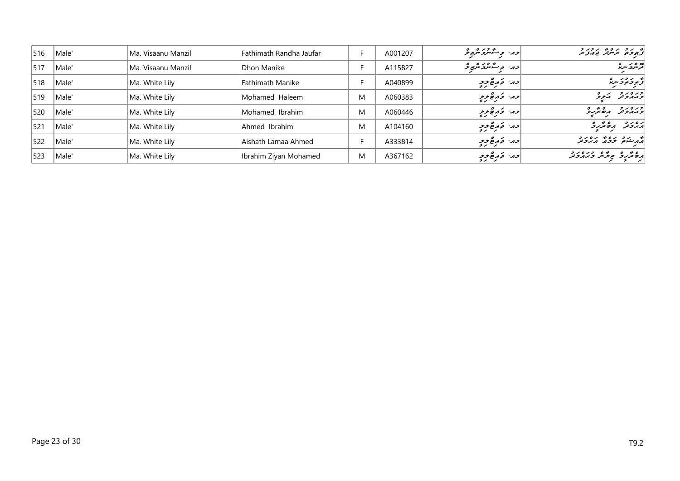| 516           | Male' | Ma. Visaanu Manzil | Fathimath Randha Jaufar |   | A001207 | دە. بە ئەمترە ئىرى ئى | و د د د ه د د د د<br>گروده نمی شرکت می تونم |
|---------------|-------|--------------------|-------------------------|---|---------|-----------------------|---------------------------------------------|
| 517           | Male' | Ma. Visaanu Manzil | Dhon Manike             |   | A115827 | دە. بە ئەترىرى ئى     | قریبرچ سربز                                 |
| 518           | Male' | Ma. White Lily     | Fathimath Manike        |   | A040899 | در، غږم څو د          | ا می بر در بر برد.<br>افراد بر برد برد      |
| 519           | Male' | Ma. White Lily     | Mohamed Haleem          | M | A060383 | در، او دی د د         | ورەرو پەيدە                                 |
| 520           | Male' | Ma. White Lily     | Mohamed Ibrahim         | M | A060446 | در، او دی د د         | כנסנד סיבים                                 |
| 521           | Male' | Ma. White Lily     | Ahmed Ibrahim           | M | A104160 | در، او دی د د         | גפיק הפיציק                                 |
| 522           | Male' | Ma. White Lily     | Aishath Lamaa Ahmed     |   | A333814 | در، او دی د د         | ه مشور ده به ده در د                        |
| $ 523\rangle$ | Male' | Ma. White Lily     | Ibrahim Ziyan Mohamed   | M | A367162 | در، غهره و د          | ם מים מים כנסנים                            |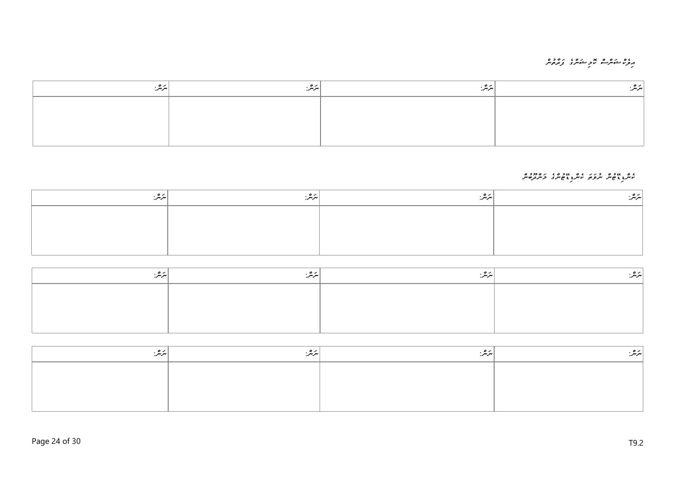## *w7qAn8m? sCw7mRo>u; wEw7mRw;sBo<*

| ' مرمر | 'يئرىثر: |
|--------|----------|
|        |          |
|        |          |
|        |          |

## *w7q9r@w7m> sCw7qHtFoFw7s; mAm=q7 w7qHtFoFw7s;*

| ىر تە | $\mathcal{O} \times$<br>$\sim$ | $\sim$<br>. . | لترنثر |
|-------|--------------------------------|---------------|--------|
|       |                                |               |        |
|       |                                |               |        |
|       |                                |               |        |

| $\frac{2}{n}$ | $^{\circ}$ | $\frac{2}{n}$ | $^{\circ}$<br>سرسر. |
|---------------|------------|---------------|---------------------|
|               |            |               |                     |
|               |            |               |                     |
|               |            |               |                     |

| ىرتىر: | 。<br>سر سر | .,<br>مرسر |
|--------|------------|------------|
|        |            |            |
|        |            |            |
|        |            |            |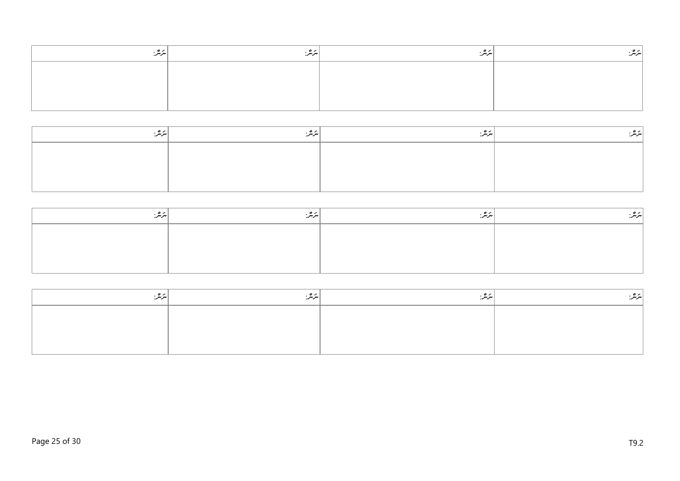| يزهر | $^{\circ}$ | ىئرىتر: |  |
|------|------------|---------|--|
|      |            |         |  |
|      |            |         |  |
|      |            |         |  |

| متريثر به | 。<br>َ سرسر ِ | يتزيترا | سرسر |
|-----------|---------------|---------|------|
|           |               |         |      |
|           |               |         |      |
|           |               |         |      |

| ىرتىر: | $\sim$ | ا بر هه. | لىرىش |
|--------|--------|----------|-------|
|        |        |          |       |
|        |        |          |       |
|        |        |          |       |

| 。<br>مرس. | $\overline{\phantom{a}}$<br>مر سر | يتريثر |
|-----------|-----------------------------------|--------|
|           |                                   |        |
|           |                                   |        |
|           |                                   |        |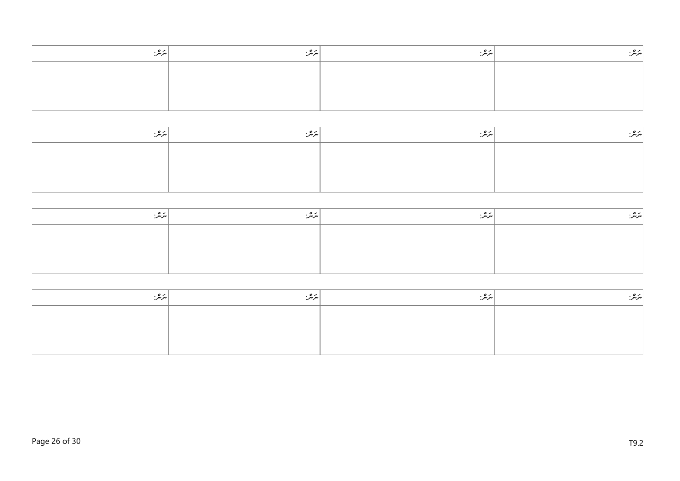| ير هو . | $\overline{\phantom{a}}$ | يرمر | اير هنه. |
|---------|--------------------------|------|----------|
|         |                          |      |          |
|         |                          |      |          |
|         |                          |      |          |

| ىر تىر: | $\circ$ $\sim$<br>" سرسر . | يبرحه | o . |
|---------|----------------------------|-------|-----|
|         |                            |       |     |
|         |                            |       |     |
|         |                            |       |     |

| انترنثر: | ر ه |  |
|----------|-----|--|
|          |     |  |
|          |     |  |
|          |     |  |

|  | . ه |
|--|-----|
|  |     |
|  |     |
|  |     |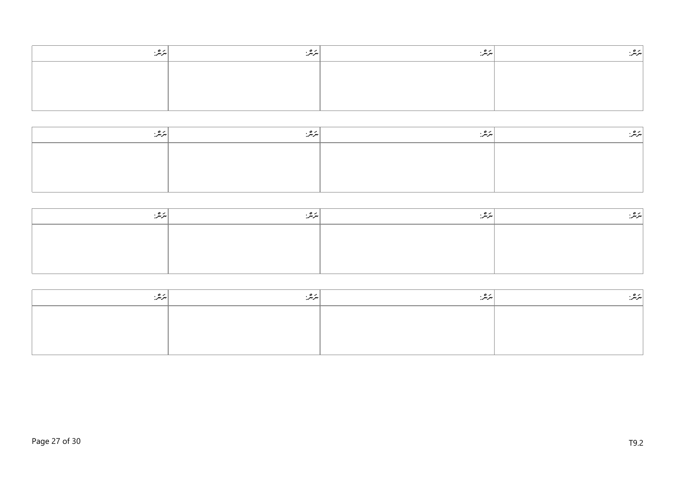| ير هو . | $\overline{\phantom{a}}$ | يرمر | اير هنه. |
|---------|--------------------------|------|----------|
|         |                          |      |          |
|         |                          |      |          |
|         |                          |      |          |

| ىبرىر. | $\sim$<br>ا سرسر . | يئرمثر | o . |
|--------|--------------------|--------|-----|
|        |                    |        |     |
|        |                    |        |     |
|        |                    |        |     |

| انترنثر: | ر ه |  |
|----------|-----|--|
|          |     |  |
|          |     |  |
|          |     |  |

|  | . ه |
|--|-----|
|  |     |
|  |     |
|  |     |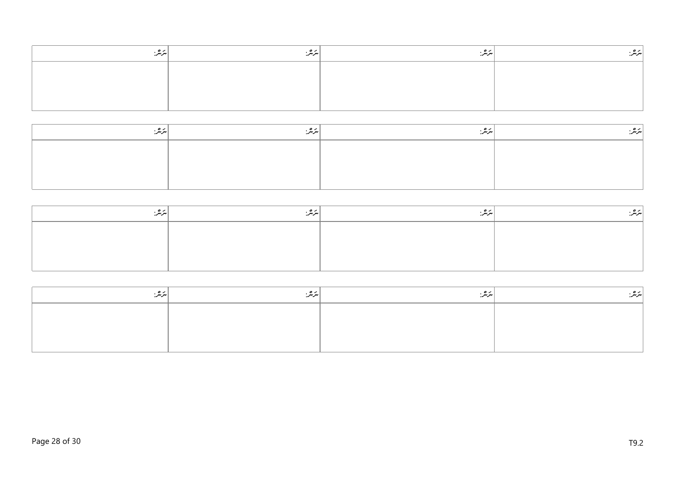| $\cdot$ | ο. | $\frac{\circ}{\cdot}$ | $\sim$<br>سرسر |
|---------|----|-----------------------|----------------|
|         |    |                       |                |
|         |    |                       |                |
|         |    |                       |                |

| ايرعر: | ر ه<br>. . |  |
|--------|------------|--|
|        |            |  |
|        |            |  |
|        |            |  |

| بر ه | 。 | $\sim$<br>َ سومس |  |
|------|---|------------------|--|
|      |   |                  |  |
|      |   |                  |  |
|      |   |                  |  |

| 。<br>. س | ىرىىر |  |
|----------|-------|--|
|          |       |  |
|          |       |  |
|          |       |  |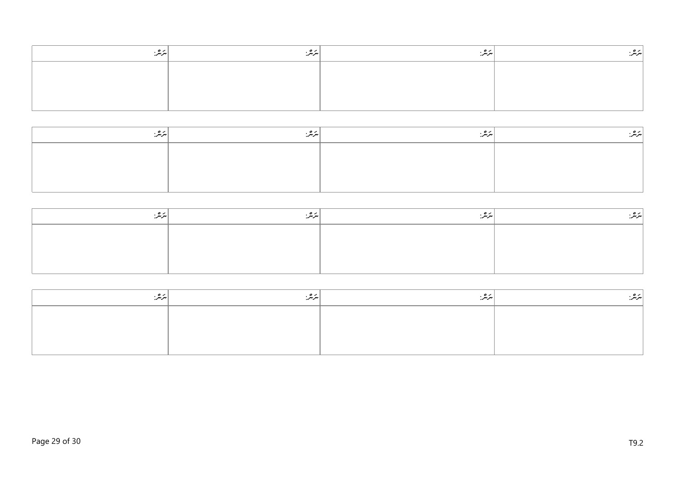| ير هو . | $\overline{\phantom{a}}$ | يرمر | لتزمثن |
|---------|--------------------------|------|--------|
|         |                          |      |        |
|         |                          |      |        |
|         |                          |      |        |

| ىر تىر: | $\circ$ $\sim$<br>" سرسر . | يبرحه | o . |
|---------|----------------------------|-------|-----|
|         |                            |       |     |
|         |                            |       |     |
|         |                            |       |     |

| 'تترنثر: | 。<br>,,,, |  |
|----------|-----------|--|
|          |           |  |
|          |           |  |
|          |           |  |

|  | . ه |
|--|-----|
|  |     |
|  |     |
|  |     |